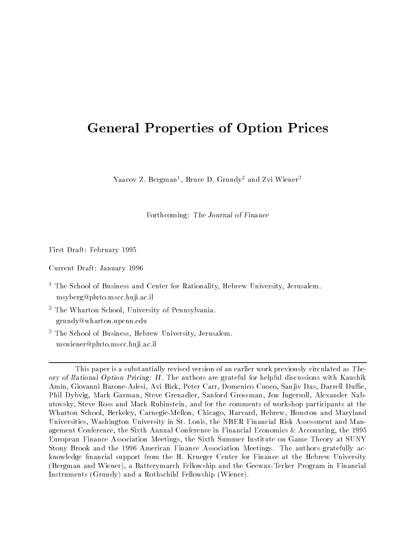# General Properties of Option Prices

raacov Z. Bergman<sup>-</sup>, Bruce D. Grundy<sup>-</sup> and Zvi Wiener<sup>-</sup>

Forthcoming: The Journal of Finance

First Draft: February 1995

Current Draft: January 1996

- $^{\circ}$  1 He School of Business and Center for Rationality, Hebrew University, Jerusalem.  $^{\circ}$ msyberg@pluto.mscc.huji.ac.il
- 2 The Wharton School, University of Pennsylvania. grundy@wharton.upenn.edu
- 3 The School of Business, Hebrew University, Jerusalem. mswiener@pluto.mscc.huji.ac.il

This paper is a substantially revised version of an earlier work previously circulated as Theory of Rational Option Pricing: II . The authors are grateful for helpful discussions with Kaushik Amin, Giovanni Barone-Adesi, Avi Bick, Peter Carr, Domenico Cuoco, Sanjiv Das, Darrell Duffie. Phil Dybvig, Mark Garman, Steve Grenadier, Sanford Grossman, Jon Ingersoll, Alexander Nabutovsky, Steve Ross and Mark Rubinstein, and for the comments of workshop participants at the Wharton School, Berkeley, Carnegie-Mellon, Chicago, Harvard, Hebrew, Houston and Maryland Universities, Washington University in St. Louis, the NBER Financial Risk Assessment and Management Conference, the Sixth Annual Conference in Financial Economics & Accounting, the 1995 European Finance Association Meetings, the Sixth Summer Institute on Game Theory at SUNY Stony Brook and the 1996 American Finance Association Meetings. The authors gratefully acknowledge nancial support from the H. Krueger Center for Finance at the Hebrew University (Bergman and Wiener), a Batterymarch Fellowship and the Geewax-Terker Program in Financial Instruments (Grundy) and a Rothschild Fellowship (Wiener).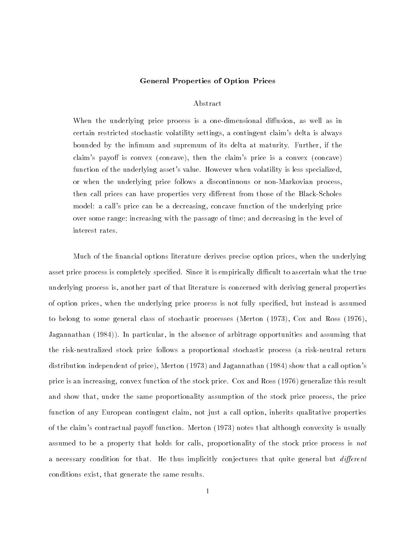#### General Properties of Option Prices

# Abstract

When the underlying price process is a one-dimensional diffusion, as well as in certain restricted stochastic volatility settings, a contingent claim's delta is always bounded by the infimum and supremum of its delta at maturity. Further, if the claim's payoff is convex (concave), then the claim's price is a convex (concave) function of the underlying asset's value. However when volatility is less specialized, or when the underlying price follows a discontinuous or non-Markovian process, then call prices can have properties very different from those of the Black-Scholes model: a call's price can be a decreasing, concave function of the underlying price over some range; increasing with the passage of time; and decreasing in the level of interest rates.

Much of the financial options literature derives precise option prices, when the underlying asset price process is completely specified. Since it is empirically difficult to ascertain what the true underlying process is, another part of that literature is concerned with deriving general properties of option prices, when the underlying price process is not fully specied, but instead is assumed to belong to some general class of stochastic processes (Merton (1973), Cox and Ross (1976), Jagannathan (1984)). In particular, in the absence of arbitrage opportunities and assuming that the risk-neutralized stock price follows a proportional stochastic process (a risk-neutral return distribution independent of price), Merton (1973) and Jagannathan (1984) show that a call option's price is an increasing, convex function of the stock price. Cox and Ross (1976) generalize this result and show that, under the same proportionality assumption of the stock price process, the price function of any European contingent claim, not just a call option, inherits qualitative properties of the claim's contractual payoff function. Merton (1973) notes that although convexity is usually assumed to be a property that holds for calls, proportionality of the stock price process is not a necessary condition for that. He thus implicitly conjectures that quite general but *different* conditions exist, that generate the same results.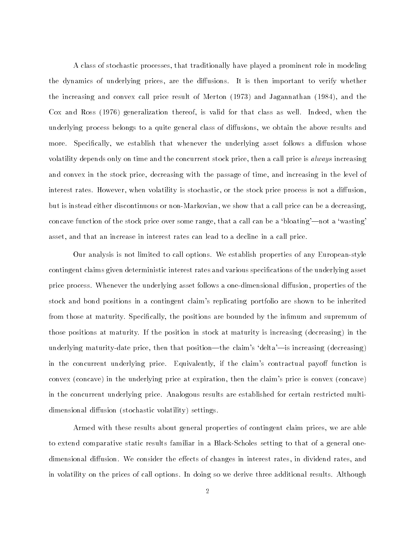A class of stochastic processes, that traditionally have played a prominent role in modeling the dynamics of underlying prices, are the diffusions. It is then important to verify whether the increasing and convex call price result of Merton (1973) and Jagannathan (1984), and the Cox and Ross (1976) generalization thereof, is valid for that class as well. Indeed, when the underlying process belongs to a quite general class of diffusions, we obtain the above results and more. Specifically, we establish that whenever the underlying asset follows a diffusion whose volatility depends only on time and the concurrent stock price, then a call price is always increasing and convex in the stock price, decreasing with the passage of time, and increasing in the level of interest rates. However, when volatility is stochastic, or the stock price process is not a diffusion, but is instead either discontinuous or non-Markovian, we show that a call price can be a decreasing, concave function of the stock price over some range, that a call can be a 'bloating'—not a 'wasting' asset, and that an increase in interest rates can lead to a decline in a call price.

Our analysis is not limited to call options. We establish properties of any European-style contingent claims given deterministic interest rates and various specications of the underlying asset price process. Whenever the underlying asset follows a one-dimensional diffusion, properties of the stock and bond positions in a contingent claim's replicating portfolio are shown to be inherited from those at maturity. Specifically, the positions are bounded by the infimum and supremum of those positions at maturity. If the position in stock at maturity is increasing (decreasing) in the underlying maturity-date price, then that position—the claim's 'delta'—is increasing (decreasing) in the concurrent underlying price. Equivalently, if the claim's contractual payoff function is convex (concave) in the underlying price at expiration, then the claim's price is convex (concave) in the concurrent underlying price. Analogous results are established for certain restricted multidimensional diffusion (stochastic volatility) settings.

Armed with these results about general properties of contingent claim prices, we are able to extend comparative static results familiar in a Black-Scholes setting to that of a general onedimensional diffusion. We consider the effects of changes in interest rates, in dividend rates, and in volatility on the prices of call options. In doing so we derive three additional results. Although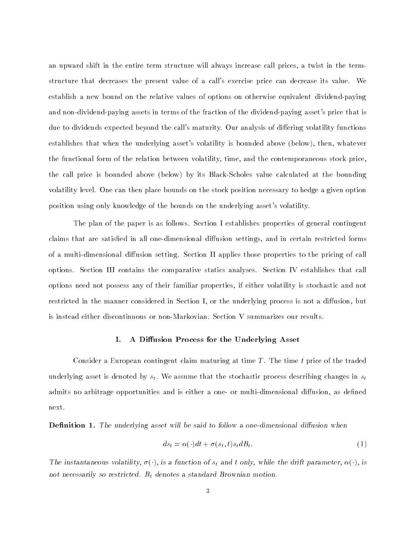an upward shift in the entire term structure will always increase call prices, a twist in the termstructure that decreases the present value of a call's exercise price can decrease its value. We establish a new bound on the relative values of options on otherwise equivalent dividend-paying and non-dividend-paying assets in terms of the fraction of the dividend-paying asset's price that is due to dividends expected beyond the call's maturity. Our analysis of differing volatility functions establishes that when the underlying asset's volatility is bounded above (below), then, whatever the functional form of the relation between volatility, time, and the contemporaneous stock price, the call price is bounded above (below) by its Black-Scholes value calculated at the bounding volatility level. One can then place bounds on the stock position necessary to hedge a given option position using only knowledge of the bounds on the underlying asset's volatility.

The plan of the paper is as follows. Section I establishes properties of general contingent claims that are satisfied in all one-dimensional diffusion settings, and in certain restricted forms of a multi-dimensional diffusion setting. Section II applies those properties to the pricing of call options. Section III contains the comparative statics analyses. Section IV establishes that call options need not possess any of their familiar properties, if either volatility is stochastic and not restricted in the manner considered in Section I, or the underlying process is not a diffusion, but is instead either discontinuous or non-Markovian. Section V summarizes our results.

# I. A Diffusion Process for the Underlying Asset

Consider a European contingent claim maturing at time  $T$ . The time t price of the traded underlying asset is denoted by  $s_t$ . We assume that the stochastic process describing changes in  $s_t$ admits no arbitrage opportunities and is either a one- or multi-dimensional diffusion, as defined next.

**Definition 1.** The underlying asset will be said to follow a one-dimensional diffusion when

$$
ds_t = \alpha(\cdot)dt + \sigma(s_t, t)s_t dB_t.
$$
\n<sup>(1)</sup>

The instantaneous volatility,  $\sigma(\cdot)$ , is a function of  $s_t$  and t only, while the drift parameter,  $\alpha(\cdot)$ , is not necessarily so restricted.  $B_t$  denotes a standard Brownian motion.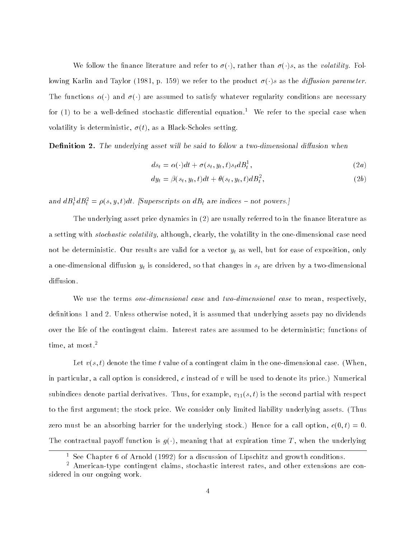We follow the finance literature and refer to  $\sigma(\cdot)$ , rather than  $\sigma(\cdot)s$ , as the volatility. Following Karlin and Taylor (1981, p. 159) we refer to the product  $\sigma(\cdot)$ s as the *diffusion parameter*. The functions  $\alpha(\cdot)$  and  $\sigma(\cdot)$  are assumed to satisfy whatever regularity conditions are necessary for  $(1)$  to be a well-defined stochastic differential equation.<sup>1</sup> We refer to the special case when volatility is deterministic,  $\sigma(t)$ , as a Black-Scholes setting.

**Definition 2.** The underlying asset will be said to follow a two-dimensional diffusion when

$$
ds_t = \alpha(\cdot)dt + \sigma(s_t, y_t, t)s_t dB_t^1, \qquad (2a)
$$

$$
dy_t = \beta(s_t, y_t, t)dt + \theta(s_t, y_t, t)dB_t^2, \qquad (2b)
$$

and  $a_{\text{B}_t^T} a_{\text{B}_t^T} = \rho(s, y, t) a_t$ . [Superscripts on  $a_{\text{B}_t^T}$  are indices  $-$  not powers.]

The underlying asset price dynamics in  $(2)$  are usually referred to in the finance literature as a setting with stochastic volatility, although, clearly, the volatility in the one-dimensional case need not be deterministic. Our results are valid for a vector  $y_t$  as well, but for ease of exposition, only a one-dimensional diffusion  $y_t$  is considered, so that changes in  $s_t$  are driven by a two-dimensional diffusion.

We use the terms one-dimensional case and two-dimensional case to mean, respectively, definitions 1 and 2. Unless otherwise noted, it is assumed that underlying assets pay no dividends over the life of the contingent claim. Interest rates are assumed to be deterministic; functions of time, at most.<sup>2</sup>

Let  $v(s,t)$  denote the time t value of a contingent claim in the one-dimensional case. (When, in particular, a call option is considered, c instead of  $v$  will be used to denote its price.) Numerical subindices denote partial derivatives. Thus, for example,  $v_{11}(s,t)$  is the second partial with respect to the first argument; the stock price. We consider only limited liability underlying assets. (Thus zero must be an absorbing barrier for the underlying stock.) Hence for a call option,  $c(0, t) = 0$ . The contractual payoff function is  $g(\cdot)$ , meaning that at expiration time T, when the underlying

<sup>1</sup> See Chapter 6 of Arnold (1992) for a discussion of Lipschitz and growth conditions.

<sup>2</sup> American-type contingent claims, stochastic interest rates, and other extensions are considered in our ongoing work.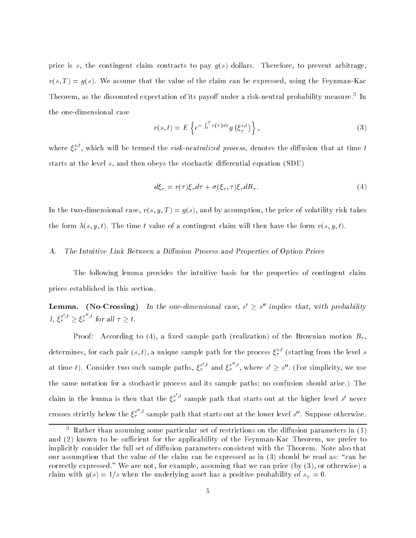price is s, the contingent claim contracts to pay  $g(s)$  dollars. Therefore, to prevent arbitrage,  $v(s,T) = g(s)$ . We assume that the value of the claim can be expressed, using the Feynman-Kac Incorem, as the discounted expectation of its payon under a risk-neutral probability measure. Th the one-dimensional case

$$
v(s,t) = E\left\{e^{-\int_t^T r(\tau)d\tau}g\left(\xi_T^{s,t}\right)\right\},\tag{3}
$$

where  $\xi_{\tau}$  , which will be termed the *risk-neutralized process*, denotes the diffusion that at time  $t$ starts at the level  $s$ , and then obeys the stochastic differential equation (SDE)

$$
d\xi_{\tau} = r(\tau)\xi_{\tau}d\tau + \sigma(\xi_{\tau}, \tau)\xi_{\tau}dB_{\tau}.
$$
\n(4)

In the two-dimensional case,  $v(s, y, T) = g(s)$ , and by assumption, the price of volatility risk takes the form  $\lambda(s, y, t)$ . The time t value of a contingent claim will then have the form  $v(s, y, t)$ .

#### The Intuitive Link Between a Diffusion Process and Properties of Option Prices А.

The following lemma provides the intuitive basis for the properties of contingent claim prices established in this section.

**Lemma.** (No-Crossing) In the one-dimensional case,  $s' > s''$  implies that, with probability 1,  $\xi_{\tau}^{s',t} > \xi_{\tau}^{s'',t}$  for all  $\tau > t$ .

Proof: According to (4), a fixed sample path (realization) of the Brownian motion  $B_{\tau}$ . determines, for each pair  $(s,t)$ , a unique sample path for the process  $\xi_{\tau}^{+}$  (starting from the level  $s$ at time t). Consider two such sample paths,  $\xi_7^{s',t}$  and  $\xi_7^{s'',t}$ , where  $s' \geq s''$ . (For simplicity, we use the same notation for a stochastic process and its sample paths; no confusion should arise.) The claim in the lemma is then that the  $\xi_{\tau}^{s',t}$  sample path that starts out at the higher level s' never crosses strictly below the  $\xi^{s'',t}_\tau$  sample path that starts out at the lower level  $s''$ . Suppose otherwise.

<sup>3</sup> Rather than assuming some particular set of restrictions on the diusion parameters in (1) and (2) known to be sufficient for the applicability of the Feynman-Kac Theorem, we prefer to implicitly consider the full set of diffusion parameters consistent with the Theorem. Note also that our assumption that the value of the claim can be expressed as in  $(3)$  should be read as: "can be correctly expressed." We are not, for example, assuming that we can price (by (3), or otherwise) a claim with the underlying asset has a positive probability of state probability of state probability of state p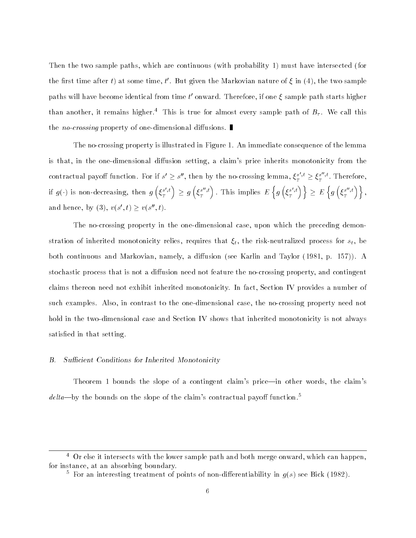Then the two sample paths, which are continuous (with probability 1) must have intersected (for the first time after t) at some time, t'. But given the Markovian nature of  $\xi$  in (4), the two sample paths will have become identical from time t' onward. Therefore, if one  $\xi$  sample path starts higher than another, it remains higher.<sup>4</sup> This is true for almost every sample path of  $B<sub>\tau</sub>$ . We call this the *no-crossing* property of one-dimensional diffusions.

The no-crossing property is illustrated in Figure 1. An immediate consequence of the lemma is that, in the one-dimensional diffusion setting, a claim's price inherits monotonicity from the contractual payoff function. For if  $s' \geq s''$ , then by the no-crossing lemma,  $\xi_r^{s',t} \geq \xi_r^{s'',t}$ .  $T$  is the form of  $T$  is the form of  $T$ if  $g(\cdot)$  is non-decreasing, then  $g\left(\xi^{s',t}_T\right)\,\geq\, g\left(\xi^{s'',t}_T\right)$  . This implies  $\,E\,\Big\{\,g\,\Big(\delta\big)\,$  $\left\{ \,g\left(\,\xi_{\scriptscriptstyle T}^{\,s',t}\right)\,\right\} \,\geq\, E\,\left\{ \,g\left(\,\xi_{\scriptscriptstyle T}^{\,s'',t}\right)\,\right\} \,,$ and hence, by (3),  $v(s', t) > v(s'', t)$ .

The no-crossing property in the one-dimensional case, upon which the preceding demonstration of inherited monotonicity relies, requires that  $\xi_t$ , the risk-neutralized process for  $s_t$ , be both continuous and Markovian, namely, a diffusion (see Karlin and Taylor (1981, p. 157)). A stochastic process that is not a diffusion need not feature the no-crossing property, and contingent claims thereon need not exhibit inherited monotonicity. In fact, Section IV provides a number of such examples. Also, in contrast to the one-dimensional case, the no-crossing property need not hold in the two-dimensional case and Section IV shows that inherited monotonicity is not always satisfied in that setting.

#### Sufficient Conditions for Inherited Monotonicity В.

Theorem 1 bounds the slope of a contingent claim's price—in other words, the claim's  $delta$ -by the bounds on the slope of the claim's contractual payoff function.<sup>5</sup>

 $^\circ$  Or eise it intersects with the lower sample path and both merge onward, which can happen,  $^\circ$ for instance, at an absorbing boundary.

 $\pm$  for an interesting treatment of points of non-dimerentiability in  $q(s)$  see Bick (1982).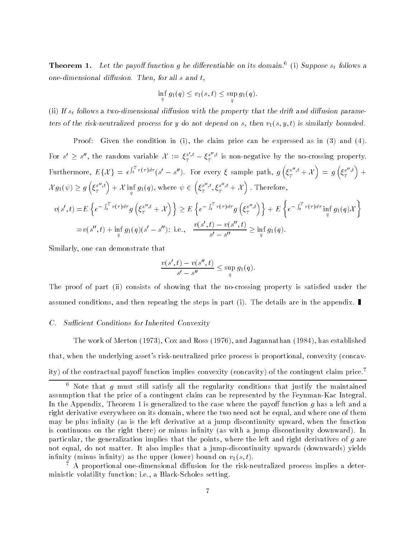**Theorem 1.** Let the payon function g be differentiable on its domain. (1) Suppose  $s_t$  follows a one-dimensional diffusion. Then, for all  $s$  and  $t$ ,

$$
\inf_{q} g_1(q) \le v_1(s,t) \le \sup_{q} g_1(q).
$$

 $\mathbf{q}$  and  $\mathbf{q}$ 

(ii) If  $s_t$  follows a two-dimensional diffusion with the property that the drift and diffusion parameters of the risk-neutralized process for y do not depend on s, then  $v_1(s, y, t)$  is similarly bounded.

Proof: Given the condition in (i), the claim price can be expressed as in (3) and (4). For  $s' \geq s''$ , the random variable  $\mathcal{X} := \xi_T^{s',t} - \xi_T^{s'',t}$  is  $T$  is non-negative by the no-crossing property. Furthermore, Effects and Effects are the effects of the effects of the effects of the effects of the effects of  $\int_t^T r(\tau)d\tau$  (s' - s"). For every  $\xi$  sample path,  $g\left(\xi^{s''},t + \mathcal{X}\right) =$  $\Big) = g\left(\xi_{\scriptscriptstyle T}^{s^{\prime\prime},t}\right) + \nonumber$  $\mathcal{X} g_1(\psi) \geq g\left(\xi_T^{s'',t}\right) + \mathcal{X} \inf_q g_1(q), \, \text{where} \, \, \psi \in \left(\xi_T^{s''}\right)$   ${\cal E}^{s^{\prime\prime},t}_\pi$  ;  ${\cal E}$  $\left\{ \frac{s^{\prime \prime },t}{T},\xi_{T}^{s^{\prime \prime },t}+\mathcal{X}\right\}$  .  $\mathrm{T}% _{t}$  $\mathcal{L}$  and the contract of the contract of the contract of the contract of the contract of the contract of the contract of the contract of the contract of the contract of the contract of the contract of the contract of : Therefore,  $v(s',t) = E \left\{ e^{-\int_t^T r(\tau) d\tau} q \left( \xi_s^{s''}, t + \right) \right\}$  $T \quad \cdots \quad I \quad I \quad$ on a contract of the contract of the contract of the contract of the contract of the contract of the contract of the contract of the contract of the contract of the contract of the contract of the contract of the contract  $\overline{\phantom{a}}$  $\left\{e^{-\int_t^T r(\tau)d\tau}g\left(\xi_T^{s'',t}\right)\right\}+E\left\{e^{-\int_t^T r(\tau)d\tau}g\left(\xi_T^{s''}g\right)\right\}$  $e^{-\int_t^Tr(\tau)d\tau}\inf q_1(q)\mathcal{X}$  $\mathbf{q}$  and  $\mathbf{q}$  $=v(s'',t) + \inf g_1(q)(s'-s'');$  i.e.,  $\frac{v(s',t)-v(s'',t)}{s'} \geq$  $\mathbf{q}$  and  $\mathbf{q}$  $s' = s''$   $\frac{1}{q} \int_0^q$  $\mathbf{q}$  and  $\mathbf{q}$ 

Similarly, one can demonstrate that

$$
\frac{v(s',t)-v(s'',t)}{s'-s''}\leq \sup_q g_1(q).
$$

The proof of part (ii) consists of showing that the no-crossing property is satisfied under the assumed conditions, and then repeating the steps in part (i). The details are in the appendix.

# C. Sufficient Conditions for Inherited Convexity

The work of Merton (1973), Cox and Ross (1976), and Jagannathan (1984), has established that, when the underlying asset's risk-neutralized price process is proportional, convexity (concavity) of the contractual payoff function implies convexity (concavity) of the contingent claim price.<sup>7</sup>

7 A proportional one-dimensional diusion for the risk-neutralized process implies a deterministic volatility function; i.e., a Black-Scholes setting.

Frote that  $q$  must still satisfy all the regularity conditions that justify the maintained assumption that the price of a contingent claim can be represented by the Feynman-Kac Integral. In the Appendix, Theorem 1 is generalized to the case where the payoff function  $q$  has a left and a right derivative everywhere on its domain, where the two need not be equal, and where one of them may be plus infinity (as is the left derivative at a jump discontinuity upward, when the function is continuous on the right there) or minus infinity (as with a jump discontinuity downward). In particular, the generalization implies that the points, where the left and right derivatives of g are not equal, do not matter. It also implies that a jump-discontinuity upwards (downwards) yields infinity (minus infinity) as the upper (lower) bound on  $v_1(s,t)$ .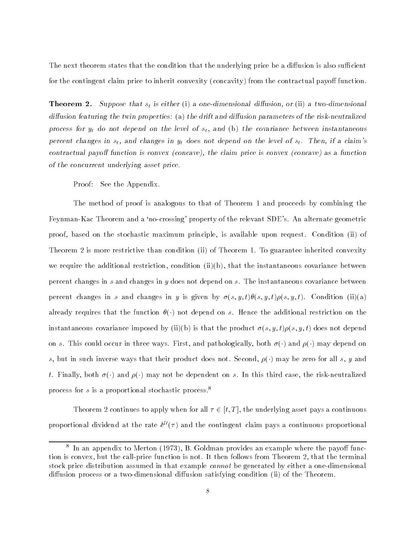The next theorem states that the condition that the underlying price be a diffusion is also sufficient for the contingent claim price to inherit convexity (concavity) from the contractual payoff function.

**Theorem 2.** Suppose that  $s_t$  is either (i) a one-dimensional diffusion, or (ii) a two-dimensional diffusion featuring the twin properties: (a) the drift and diffusion parameters of the risk-neutralized process for  $y_t$  do not depend on the level of  $s_t$ , and (b) the covariance between instantaneous percent changes in  $s_t$ , and changes in  $y_t$  does not depend on the level of  $s_t$ . Then, if a claim's contractual payoff function is convex (concave), the claim price is convex (concave) as a function of the concurrent underlying asset price.

Proof: See the Appendix.

The method of proof is analogous to that of Theorem 1 and proceeds by combining the Feynman-Kac Theorem and a `no-crossing' property of the relevant SDE's. An alternate geometric proof, based on the stochastic maximum principle, is available upon request. Condition (ii) of Theorem 2 is more restrictive than condition (ii) of Theorem 1. To guarantee inherited convexity we require the additional restriction, condition (ii)(b), that the instantaneous covariance between percent changes in s and changes in y does not depend on s. The instantaneous covariance between percent changes in s and changes in y is given by  $\sigma(s, y, t)\theta(s, y, t)\rho(s, y, t)$ . Condition (ii)(a) already requires that the function  $\theta(\cdot)$  not depend on s. Hence the additional restriction on the instantaneous covariance imposed by (ii)(b) is that the product  $\sigma(s, y, t)\rho(s, y, t)$  does not depend on s. This could occur in three ways. First, and pathologically, both  $\sigma(\cdot)$  and  $\rho(\cdot)$  may depend on s, but in such inverse ways that their product does not. Second,  $\rho(\cdot)$  may be zero for all s, y and t. Finally, both  $\sigma(\cdot)$  and  $\rho(\cdot)$  may not be dependent on s. In this third case, the risk-neutralized process for s is a proportional stochastic process.<sup>8</sup>

Theorem 2 continues to apply when for all  $\tau \in [t, T]$ , the underlying asset pays a continuous proportional dividend at the rate  $\delta^{U}(\tau)$  and the contingent claim pays a continuous proportional

<sup>-</sup> In an appendix to merton (1973), B. Goldman provides an example where the payon function is convex, but the call-price function is not. It then follows from Theorem 2, that the terminal stock price distribution assumed in that example cannot be generated by either a one-dimensional diffusion process or a two-dimensional diffusion satisfying condition (ii) of the Theorem.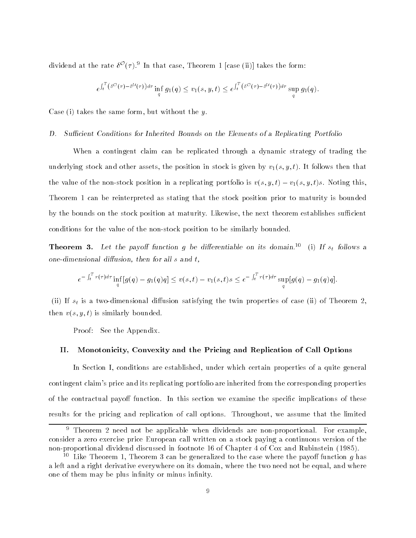dividend at the rate  $\delta^{\mathcal{O}}(\tau)$ .<sup>9</sup> In that case, Theorem 1 [case (ii)] takes the form:

$$
e^{\int_t^T \left(\delta^{\mathcal{O}}(\tau) - \delta^{\mathcal{U}}(\tau)\right)d\tau} \inf_q g_1(q) \leq v_1(s, y, t) \leq e^{\int_t^T \left(\delta^{\mathcal{O}}(\tau) - \delta^{\mathcal{U}}(\tau)\right)d\tau} \sup_q g_1(q).
$$

Case (i) takes the same form, but without the  $y$ .

#### D. Sufficient Conditions for Inherited Bounds on the Elements of a Replicating Portfolio

When a contingent claim can be replicated through a dynamic strategy of trading the underlying stock and other assets, the position in stock is given by  $v_1(s, y, t)$ . It follows then that the value of the non-stock position in a replicating portfolio is  $v(s, y, t) - v_1(s, y, t)s$ . Noting this, Theorem 1 can be reinterpreted as stating that the stock position prior to maturity is bounded by the bounds on the stock position at maturity. Likewise, the next theorem establishes sufficient conditions for the value of the non-stock position to be similarly bounded.

**Theorem 3.** Let the payoff function g be differentiable on its domain.<sup>10</sup> (i) If  $s_t$  follows a one-dimensional diffusion, then for all  $s$  and  $t$ ,

$$
e^{-\int_t^T r(\tau)d\tau} \inf_q [g(q) - g_1(q)q] \le v(s,t) - v_1(s,t)s \le e^{-\int_t^T r(\tau)d\tau} \sup_q [g(q) - g_1(q)q].
$$

(ii) If  $s_t$  is a two-dimensional diffusion satisfying the twin properties of case (ii) of Theorem 2. then  $v(s, y, t)$  is similarly bounded.

Proof: See the Appendix.

# II. Monotonicity, Convexity and the Pricing and Replication of Call Options

In Section I, conditions are established, under which certain properties of a quite general contingent claim's price and its replicating portfolio are inherited from the corresponding properties of the contractual payoff function. In this section we examine the specific implications of these results for the pricing and replication of call options. Throughout, we assume that the limited

<sup>9</sup> Theorem 2 need not be applicable when dividends are non-proportional. For example, consider a zero exercise price European call written on a stock paying a continuous version of the non-proportional dividend discussed in footnote 16 of Chapter 4 of Cox and Rubinstein (1985).

 $\cdot$  - Like Theorem 1, Theorem 3 can be generalized to the case where the payon function  $q$  has a left and a right derivative everywhere on its domain, where the two need not be equal, and where one of them may be plus infinity or minus infinity.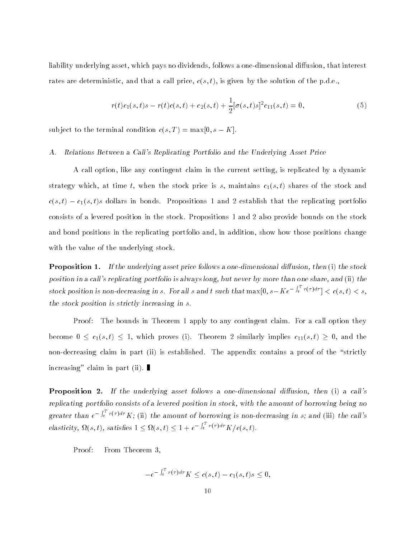liability underlying asset, which pays no dividends, follows a one-dimensional diffusion, that interest rates are deterministic, and that a call price,  $c(s,t)$ , is given by the solution of the p.d.e.,

$$
r(t)c_1(s,t)s - r(t)c(s,t) + c_2(s,t) + \frac{1}{2}[\sigma(s,t)s]^2 c_{11}(s,t) = 0,
$$
\n(5)

subject to the terminal condition  $c(s,T) = \max[0, s - K]$ .

# A. Relations Between a Call's Replicating Portfolio and the Underlying Asset Price

A call option, like any contingent claim in the current setting, is replicated by a dynamic strategy which, at time t, when the stock price is s, maintains  $c_1(s,t)$  shares of the stock and  $c(s,t) - c_1(s,t)s$  dollars in bonds. Propositions 1 and 2 establish that the replicating portfolio consists of a levered position in the stock. Propositions 1 and 2 also provide bounds on the stock and bond positions in the replicating portfolio and, in addition, show how those positions change with the value of the underlying stock.

**Proposition 1.** If the underlying asset price follows a one-dimensional diffusion, then  $(i)$  the stock position in a call's replicating portfolio is always long, but never by more than one share, and (ii) the stock position is non-decreasing in s. For all s and t such that  $\max[0, s - Ke^{-\int_t^t r(\tau)d\tau}] < c(s, t) < s$ , the stock position is strictly increasing in s.

Proof: The bounds in Theorem 1 apply to any contingent claim. For a call option they become  $0 \leq c_1(s, t) \leq 1$ , which proves (i). Theorem 2 similarly implies  $c_{11}(s, t) \geq 0$ , and the non-decreasing claim in part (ii) is established. The appendix contains a proof of the "strictly increasing" claim in part (ii).

**Proposition 2.** If the underlying asset follows a one-dimensional diffusion, then  $(i)$  a call's replicating portfolio consists of a levered position in stock, with the amount of borrowing being no greater than  $e^{-\int_t^t r(\tau)d\tau} K$ ; (ii) the amount of borrowing is non-decreasing in s; and (iii) the call's elasticity,  $\Omega(s,t)$ , satisfies  $1 \leq \Omega(s,t) \leq 1 + e^{-\int_t^t r(\tau)d\tau} K/c(s,t)$ .

Proof: From Theorem 3,

$$
-e^{-\int_t^Tr(\tau)d\tau}K\leq c(s,t)-c_1(s,t)s\leq 0,
$$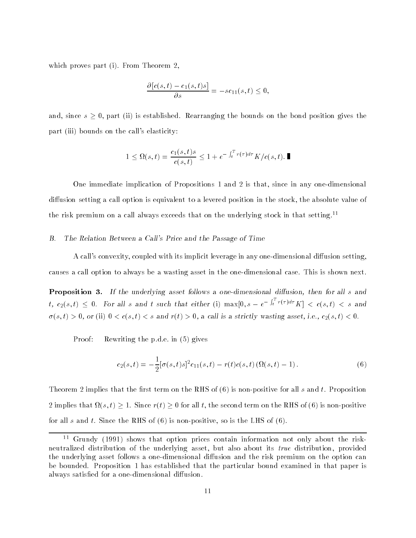which proves part (i). From Theorem 2,

$$
\frac{\partial [c(s,t)-c_1(s,t)s]}{\partial s}=-sc_{11}(s,t)\leq 0,
$$

and, since  $s \geq 0$ , part (ii) is established. Rearranging the bounds on the bond position gives the part (iii) bounds on the call's elasticity:

$$
1 \leq \Omega(s,t) = \frac{c_1(s,t)s}{c(s,t)} \leq 1 + e^{-\int_t^T r(\tau)d\tau} K/c(s,t). \blacksquare
$$

One immediate implication of Propositions 1 and 2 is that, since in any one-dimensional diffusion setting a call option is equivalent to a levered position in the stock, the absolute value of the risk premium on a call always exceeds that on the underlying stock in that setting.<sup>11</sup>

# B. The Relation Between a Call's Price and the Passage of Time

A call's convexity, coupled with its implicit leverage in any one-dimensional diffusion setting, causes a call option to always be a wasting asset in the one-dimensional case. This is shown next.

**Proposition 3.** If the underlying asset follows a one-dimensional diffusion, then for all s and t,  $c_2(s,t) \leq 0$ . For all s and t such that either (i)  $\max[0, s - e^{-\int_t^t r(\tau)d\tau} K] < c(s,t) < s$  and  $\sigma(s,t) > 0$ , or (ii)  $0 < c(s,t) < s$  and  $r(t) > 0$ , a call is a strictly wasting asset, i.e.,  $c_2(s,t) < 0$ .

Proof: Rewriting the p.d.e. in (5) gives

$$
c_2(s,t) = -\frac{1}{2} [\sigma(s,t)s]^2 c_{11}(s,t) - r(t)c(s,t) (\Omega(s,t) - 1).
$$
 (6)

Theorem 2 implies that the first term on the RHS of  $(6)$  is non-positive for all s and t. Proposition 2 implies that (s; t) 1. Since r(t) 0 for all t, the second term on the RHS of (6) is non-positive for all s and t. Since the RHS of  $(6)$  is non-positive, so is the LHS of  $(6)$ .

<sup>11</sup> Grundy (1991) shows that option prices contain information not only about the riskneutralized distribution of the underlying asset, but also about its true distribution, provided the underlying asset follows a one-dimensional diffusion and the risk premium on the option can be bounded. Proposition 1 has established that the particular bound examined in that paper is always satisfied for a one-dimensional diffusion.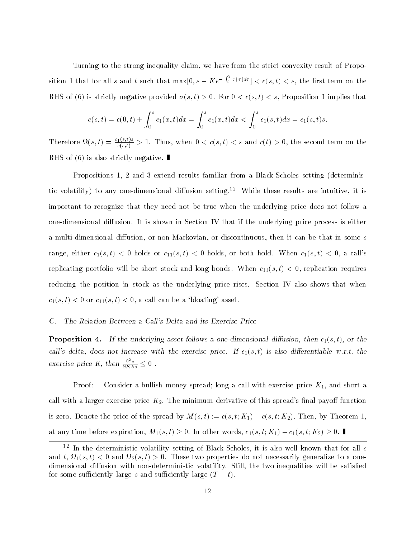Turning to the strong inequality claim, we have from the strict convexity result of Proposition 1 that for all s and t such that  $\max[0, s - Ke^{-\int_t^T r(\tau)d\tau}] < c(s, t) < s$ , the first term on the RHS of (6) is strictly negative provided  $\sigma(s, t) > 0$ . For  $0 < c(s, t) < s$ , Proposition 1 implies that

$$
c(s,t) = c(0,t) + \int_0^s c_1(x,t)dx = \int_0^s c_1(x,t)dx < \int_0^s c_1(s,t)dx = c_1(s,t)s.
$$

Therefore  $\Omega(s,t) = \frac{1}{c(s,t)} > 1$ . Thus, when  $0 < c(s,t) < s$  and  $r(t) > 0$ , the second term on the RHS of  $(6)$  is also strictly negative.

Propositions 1, 2 and 3 extend results familiar from a Black-Scholes setting (deterministic volatility) to any one-dimensional diffusion setting.<sup>12</sup> While these results are intuitive, it is important to recognize that they need not be true when the underlying price does not follow a one-dimensional diffusion. It is shown in Section IV that if the underlying price process is either a multi-dimensional diffusion, or non-Markovian, or discontinuous, then it can be that in some s range, either  $c_1(s,t) < 0$  holds or  $c_{11}(s,t) < 0$  holds, or both hold. When  $c_1(s,t) < 0$ , a call's replicating portfolio will be short stock and long bonds. When  $c_{11}(s, t) < 0$ , replication requires reducing the position in stock as the underlying price rises. Section IV also shows that when  $c_1(s,t) < 0$  or  $c_{11}(s,t) < 0$ , a call can be a 'bloating' asset.

# C. The Relation Between a Call's Delta and its Exercise Price

**Proposition 4.** If the underlying asset follows a one-dimensional diffusion, then  $c_1(s, t)$ , or the call's delta, does not increase with the exercise price. If  $c_1(s,t)$  is also differentiable w.r.t. the exercise price K, then  $\frac{\partial^2 c}{\partial K \partial s} \leq 0$  .

Proof: Consider a bullish money spread; long a call with exercise price  $K_1$ , and short a call with a larger exercise price  $K_2$ . The minimum derivative of this spread's final payoff function is zero. Denote the price of the spread by  $M(s, t) := c(s, t; K_1) - c(s, t; K_2)$ . Then, by Theorem 1, at any time before expiration,  $M_1(s,t) \geq 0$ . In other words,  $c_1(s,t; K_1) - c_1(s,t; K_2) \geq 0$ .

In the deterministic volatility setting of Black-Scholes, it is also well known that for all  $s$ and the set of  $\mathbb{R}^n$  and  $\mathbb{R}^n$  is done-set to a one-set of  $\mathbb{R}^n$  and  $\mathbb{R}^n$  are set one-set one-set one-set one-set of  $\mathbb{R}^n$  and  $\mathbb{R}^n$  are set one-set one-set one-set one-set of  $\mathbb{R}^n$  and dimensional diffusion with non-deterministic volatility. Still, the two inequalities will be satisfied for some sufficiently large s and sufficiently large  $(T - t)$ .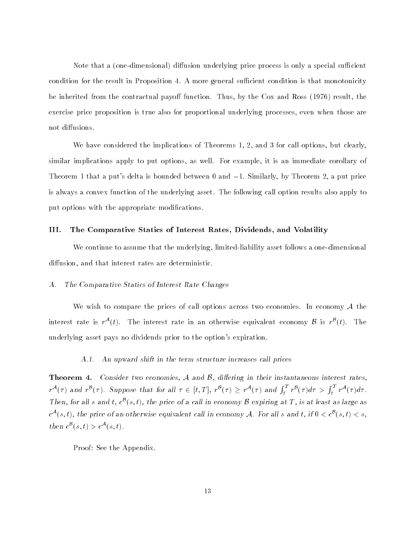Note that a (one-dimensional) diffusion underlying price process is only a special sufficient condition for the result in Proposition 4. A more general sufficient condition is that monotonicity be inherited from the contractual payoff function. Thus, by the Cox and Ross  $(1976)$  result, the exercise price proposition is true also for proportional underlying processes, even when those are not diffusions.

We have considered the implications of Theorems 1, 2, and 3 for call options, but clearly, similar implications apply to put options, as well. For example, it is an immediate corollary of Theorem 1 that a put's delta is bounded between 0 and  $-1$ . Similarly, by Theorem 2, a put price is always a convex function of the underlying asset. The following call option results also apply to put options with the appropriate modifications.

# III. The Comparative Statics of Interest Rates, Dividends, and Volatility

We continue to assume that the underlying, limited-liability asset follows a one-dimensional diffusion, and that interest rates are deterministic.

# A. The Comparative Statics of Interest Rate Changes

We wish to compare the prices of call options across two economies. In economy  $A$  the interest rate is  $r^{\mathcal{A}}(t)$ . The interest rate in an otherwise equivalent economy  $\mathcal{B}$  is  $r^{\mathcal{B}}(t)$ . The underlying asset pays no dividends prior to the option's expiration.

# A.1. An upward shift in the term structure increases call prices

**Theorem 4.** Consider two economies,  $A$  and  $B$ , differing in their instantaneous interest rates,  $r^{\mathcal{A}}(\tau)$  and  $r^{\mathcal{B}}(\tau)$ . Suppose that for all  $\tau \in [t, T]$ ,  $r^{\mathcal{B}}(\tau) \geq r^{\mathcal{A}}(\tau)$  and  $\int_{t}^{T} r^{\mathcal{B}}(\tau) d\tau > \int_{t}^{T} r^{\mathcal{A}}(\tau) d\tau$ . Then, for all s and t,  $c^{B}(s, t)$ , the price of a call in economy B expiring at T, is at least as large as  $c^{\mathcal{A}}(s,t)$ , the price of an otherwise equivalent call in economy A. For all s and t, if  $0 < c^{\mathcal{B}}(s,t) < s$ , then  $c^{\mathcal{B}}(s,t) > c^{\mathcal{A}}(s,t)$ .

Proof: See the Appendix.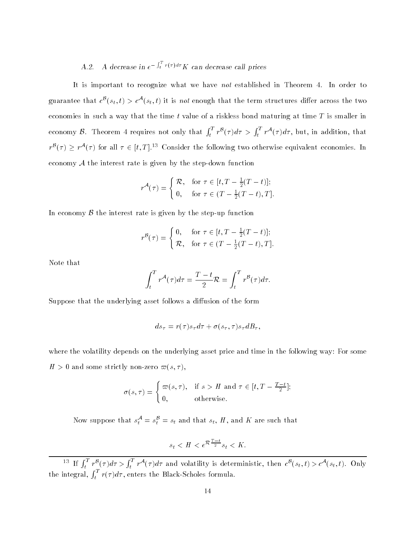# A.2. A decrease in  $e^{-\int_t^1 r(\tau)d\tau} K$  can decrease call prices

It is important to recognize what we have not established in Theorem 4. In order to guarantee that  $c^{\mathcal{B}}(s_t, t) > c^{\mathcal{A}}(s_t, t)$  it is not enough that the term structures differ across the two economies in such a way that the time t value of a riskless bond maturing at time  $T$  is smaller in economy B. Theorem 4 requires not only that  $\int_t^T r^B(\tau) d\tau > \int_t^T r^A(\tau) d\tau$ , but, in addition, that  $r^{B}(\tau) > r^{\mathcal{A}}(\tau)$  for all  $\tau \in [t, T]$ .<sup>13</sup> Consider the following two otherwise equivalent economies. In economy  $A$  the interest rate is given by the step-down function

$$
r^{\mathcal{A}}(\tau) = \begin{cases} \mathcal{R}, & \text{for } \tau \in [t, T - \frac{1}{2}(T - t)]; \\ 0, & \text{for } \tau \in (T - \frac{1}{2}(T - t), T]. \end{cases}
$$

In economy  $\beta$  the interest rate is given by the step-up function

$$
r^{\mathcal{B}}(\tau) = \begin{cases} 0, & \text{for } \tau \in [t, T - \frac{1}{2}(T - t)]; \\ \mathcal{R}, & \text{for } \tau \in (T - \frac{1}{2}(T - t), T]. \end{cases}
$$

Note that

$$
\int_t^T r^{\mathcal{A}}(\tau) d\tau = \frac{T-t}{2} \mathcal{R} = \int_t^T r^{\mathcal{B}}(\tau) d\tau.
$$

Suppose that the underlying asset follows a diffusion of the form

$$
ds_{\tau} = r(\tau)s_{\tau}d\tau + \sigma(s_{\tau}, \tau)s_{\tau}dB_{\tau},
$$

where the volatility depends on the underlying asset price and time in the following way: For some  $H > 0$  and some strictly non-zero  $\varpi(s, \tau)$ ,

$$
\sigma(s,\tau) = \begin{cases} \varpi(s,\tau), & \text{if } s > H \text{ and } \tau \in [t,T - \frac{T-t}{2}]; \\ 0, & \text{otherwise.} \end{cases}
$$

Now suppose that  $s_t^{\mathcal{A}} = s_t^{\mathcal{B}} = s_t$  and that  $s_t$ ,  $H$ , and  $K$  are such that

$$
s_t < H < e^{\mathcal{R}\frac{T-t}{2}}s_t < K.
$$

<sup>13</sup> If  $\int_t^T r^B(\tau) d\tau > \int_t^T r^A(\tau) d\tau$  and volatility is deterministic, then  $c^B(s_t, t) > c^A(s_t, t)$ . Only the integral,  $\int_t^T r(\tau) d\tau$ , enters the Black-Scholes formula.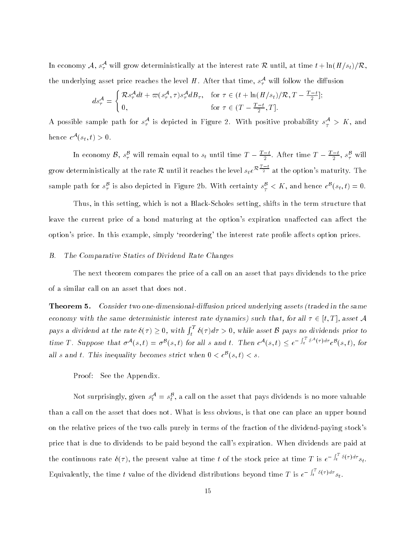In economy  $\cal A$ ,  $s^{\cal A}_\tau$  will grow deterministically at the interest rate  $\cal R$  until, at time  $t+\ln(H/s_t)/{\cal R},$ the underlying asset price reaches the level H. After that time,  $s_\tau^{\mathcal{A}}$  will follow the diffusion

$$
ds_{\tau}^{\mathcal{A}} = \begin{cases} \mathcal{R}s_{\tau}^{\mathcal{A}}dt + \varpi(s_{\tau}^{\mathcal{A}}, \tau)s_{\tau}^{\mathcal{A}}dB_{\tau}, & \text{for } \tau \in (t + \ln(H/s_t)/\mathcal{R}, T - \frac{T - t}{2}];\\ 0, & \text{for } \tau \in (T - \frac{T - t}{2}, T]. \end{cases}
$$

A possible sample path for  $s_\tau^\mathcal{A}$  is depicted in Figure 2. With positive probability  $s_\tau^\mathcal{A} > K,$  and hence  $c^{\mathcal{A}}(s_t, t) > 0$ .

In economy  $\mathcal{B}, s_\tau^{\mathcal{B}}$  will remain equal to  $s_t$  until time  $T-\frac{T-t}{2}.$  After time  $T-\frac{T-t}{2}, s_\tau^{\mathcal{B}}$  will grow deterministically at the rate R until it reaches the level  $s_t e^{R\frac{T-t}{2}}$  at the option's maturity. The sample path for  $s_\tau^{\mathcal{B}}$  is also depicted in Figure 2b. With certainty  $s_\tau^{\mathcal{B}} < K$ , and hence  $c^{\mathcal{B}}(s_t, t) = 0$ .

Thus, in this setting, which is not a Black-Scholes setting, shifts in the term structure that leave the current price of a bond maturing at the option's expiration unaffected can affect the option's price. In this example, simply 'reordering' the interest rate profile affects option prices.

# B. The Comparative Statics of Dividend Rate Changes

The next theorem compares the price of a call on an asset that pays dividends to the price of a similar call on an asset that does not.

Theorem 5. Consider two one-dimensional-diffusion priced underlying assets (traded in the same economy with the same deterministic interest rate dynamics) such that, for all  $\tau \in [t, T]$ , asset A pays a dividend at the rate  $\delta(\tau) \geq 0$ , with  $\int_t^1 \delta(\tau) d\tau > 0$ , while asset B pays no dividends prior to time T. Suppose that  $\sigma^{A}(s,t) = \sigma^{B}(s,t)$  for all s and t. Then  $c^{A}(s,t) < e^{-\int_{t}^{T} \delta^{A}(\tau) d\tau} c^{B}(s,t)$ , for all s and t. This inequality becomes strict when  $0 < c^{B}(s,t) < s$ .

Proof: See the Appendix.

Not surprisingly, given  $s_t^{\mathcal{A}} = s_t^{\mathcal{B}}$ , a call on the asset that pays dividends is no more valuable than a call on the asset that does not. What is less obvious, is that one can place an upper bound on the relative prices of the two calls purely in terms of the fraction of the dividend-paying stock's price that is due to dividends to be paid beyond the call's expiration. When dividends are paid at the continuous rate  $\delta(\tau)$ , the present value at time t of the stock price at time T is  $e^{-\int_t^t \delta(\tau)d\tau} s_t$ . Equivalently, the time t value of the dividend distributions beyond time T is  $e^{-\int_t^1 \delta(\tau)d\tau} s_t$ .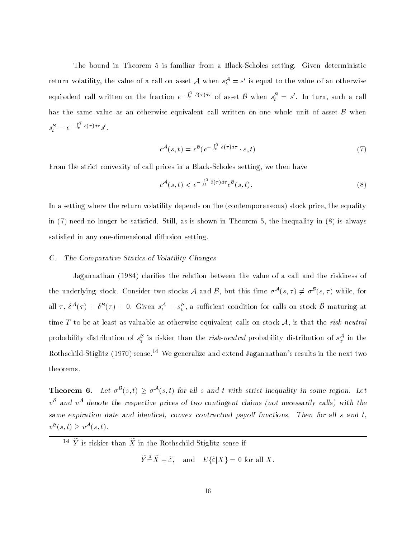The bound in Theorem 5 is familiar from a Black-Scholes setting. Given deterministic return volatility, the value of a call on asset  $\mathcal A$  when  $s_t^{\mathcal A}=s'$  is equal to the value of an otherwise equivalent call written on the fraction  $e^{-\int_t^T \delta(\tau)d\tau}$  of asset  $\mathcal B$  when  $s_t^{\mathcal B}=s'.$  In turn, such a call has the same value as an otherwise equivalent call written on one whole unit of asset  $\beta$  when  $s_t^{\mathcal{B}} = e^{-\int_t^t \delta(\tau) d\tau} s'.$ 

$$
c^{\mathcal{A}}(s,t) = c^{\mathcal{B}}(e^{-\int_t^T \delta(\tau)d\tau} \cdot s,t)
$$
\n<sup>(7)</sup>

From the strict convexity of call prices in a Black-Scholes setting, we then have

$$
c^{\mathcal{A}}(s,t) < e^{-\int_t^T \delta(\tau)d\tau} c^{\mathcal{B}}(s,t). \tag{8}
$$

In a setting where the return volatility depends on the (contemporaneous) stock price, the equality in  $(7)$  need no longer be satisfied. Still, as is shown in Theorem 5, the inequality in  $(8)$  is always satisfied in any one-dimensional diffusion setting.

# C. The Comparative Statics of Volatility Changes

Jagannathan (1984) clarifies the relation between the value of a call and the riskiness of the underlying stock. Consider two stocks A and B, but this time  $\sigma^{A}(s,\tau) \neq \sigma^{B}(s,\tau)$  while, for all  $\tau$ ,  $\delta^{\mathcal{A}}(\tau) = \delta^{\mathcal{B}}(\tau) = 0$ . Given  $s_t^{\mathcal{A}} = s_t^{\mathcal{B}}$ , a sufficient condition for calls on stock  $\mathcal{B}$  maturing at time T to be at least as valuable as otherwise equivalent calls on stock  $A$ , is that the risk-neutral probability distribution of  $s_T^{\beta}$  is riskier than the *risk-neutral* probability distribution of  $s_T^{\mathcal{A}}$  in the Rothschild-Stiglitz (1970) sense.14 We generalize and extend Jagannathan's results in the next two theorems.

**Theorem 6.** Let  $\sigma^{\mathcal{B}}(s,t) > \sigma^{\mathcal{A}}(s,t)$  for all s and t with strict inequality in some region. Let  $v^{\beta}$  and  $v^{\mathcal{A}}$  denote the respective prices of two contingent claims (not necessarily calls) with the same expiration date and identical, convex contractual payoff functions. Then for all  $s$  and  $t$ ,  $v^{\mathcal{B}}(s,t) > v^{\mathcal{A}}(s,t).$ 

 $\widetilde{Y} \stackrel{d}{=} \widetilde{X} + \widetilde{\varepsilon}, \quad \text{and} \quad E\{\widetilde{\varepsilon}|X\} = 0 \text{ for all } X.$ 

 $\overline{I}$  is riskier than  $\overline{A}$  in the Rothschild-Stiglitz sense if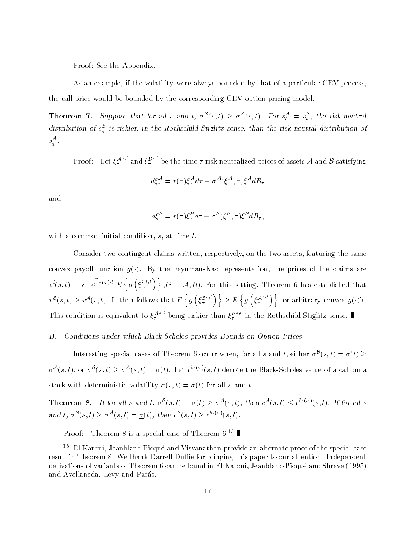Proof: See the Appendix.

As an example, if the volatility were always bounded by that of a particular CEV process, the call price would be bounded by the corresponding CEV option pricing model.

**Theorem 7.** Suppose that for all s and t,  $\sigma^{\mathcal{B}}(s,t) \geq \sigma^{\mathcal{A}}(s,t)$ . For  $s_t^{\mathcal{A}} = s_t^{\mathcal{B}}$ , the risk-neutral distribution of  $s_T^{\beta}$  is riskier, in the Rothschild-Stiglitz sense, than the risk-neutral distribution of  $s^{\mathcal{A}}$ .

Proof: Let  $\xi_{\tau}^{{\cal A}^{s,t}}$  ar  $^{s,\iota}$  and  $\xi_\tau^{\mathcal{B}^{s,\iota}}$  b ships the time  $\tau$  risk-neutralized prices of assets A and B satisfying

$$
d\xi_{\tau}^{\mathcal{A}} = r(\tau)\xi_{\tau}^{\mathcal{A}}d\tau + \sigma^{\mathcal{A}}(\xi^{\mathcal{A}}, \tau)\xi^{\mathcal{A}}dB_{\tau}
$$

and

$$
d\xi_{\tau}^{\mathcal{B}} = r(\tau)\xi_{\tau}^{\mathcal{B}}d\tau + \sigma^{\mathcal{B}}(\xi^{\mathcal{B}}, \tau)\xi^{\mathcal{B}}dB_{\tau},
$$

with a common initial condition,  $s$ , at time  $t$ .

Consider two contingent claims written, respectively, on the two assets, featuring the same convex payoff function  $g(\cdot)$ . By the Feynman-Kac representation, the prices of the claims are  $v^{i}(s,t) = e^{-\int_{t}^{T} r(\tau)d\tau} E\left\{q\right\}$  $\left\{g\left(\xi_T^{i-s,t}\right)\right\}$  $\{s,t\}$ ,  $(i = A, B)$ . For this setting, Theorem 6 has established that  $v^{\mathcal{B}}(s,t) > v^{\mathcal{A}}(s,t)$ . It then follows that  $E \nvert q \nvert$  $\left\{ g\left(\xi_T^{\mathcal{B}^{s,t}}\right)\right\}$  $\{s,t\}$  >  $E\left\{q\right\}$  $\left\{g\left(\xi_T^{{\cal A}^{s,t}}\right)\right\}$  ${s,t}$ ) for arbitrary convex  $q(\cdot)$ 's. This condition is equivalent to  $\xi^{A^{s,t}}$  being riskier than  $\xi^{B^{s,t}}$  in the Rothschild-Stiglitz sense.

# D. Conditions under which Black-Scholes provides Bounds on Option Prices

Interesting special cases of Theorem 6 occur when, for all s and t, either  $\sigma^{B}(s,t)=\bar{\sigma}(t)$  >  $\sigma^{\mathcal{A}}(s,t)$ , or  $\sigma^{\mathcal{B}}(s,t) > \sigma^{\mathcal{A}}(s,t) = \sigma(t)$ . Let  $c^{bs(\sigma)}(s,t)$  denote the Black-Scholes value of a call on a stock with deterministic volatility  $\sigma(s, t) = \sigma(t)$  for all s and t.

**Theorem 8.** If for all s and t,  $\sigma^B(s,t) = \bar{\sigma}(t) > \sigma^A(s,t)$ , then  $c^A(s,t) < c^{bs(\bar{\sigma})}(s,t)$ . If for all s and t,  $\sigma^{\mathcal{B}}(s,t) > \sigma^{\mathcal{A}}(s,t) = \sigma(t)$ , then  $c^{\mathcal{B}}(s,t) > c^{bs(\mathcal{Q})}(s,t)$ .

Proof: Theorem 8 is a special case of Theorem 6.<sup>15</sup>

<sup>15</sup> El Karoui, Jeanblanc-Picque and Visvanathan provide an alternate proof of the special case result in Theorem 8. We thank Darrell Duffie for bringing this paper to our attention. Independent derivations of variants of Theorem 6 can be found in El Karoui, Jeanblanc-Picque and Shreve (1995) and Avellaneda, Levy and Parás.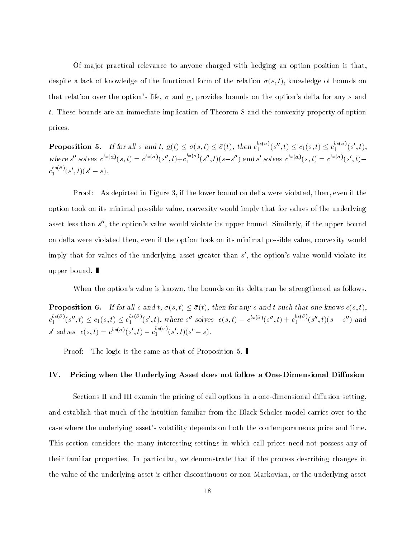Of ma jor practical relevance to anyone charged with hedging an option position is that, despite a lack of knowledge of the functional form of the relation  $\sigma(s, t)$ , knowledge of bounds on that relation over the option's life,  $\bar{\sigma}$  and  $\underline{\sigma}$ , provides bounds on the option's delta for any s and t. These bounds are an immediate implication of Theorem 8 and the convexity property of option prices.

**Proposition 5.** If for all s and  $t, \underline{\sigma}(t) \leq \sigma(s, t) \leq \overline{\sigma}(t)$ , then  $c_1^{ss(\sigma)}(s'', t) \leq c_1(s, t) \leq c_1^{ss(\sigma)}(s', t)$ , where s'' solves  $c^{bs(\mathcal{Q})}(s,t) = c^{bs(\bar{\sigma})}(s'',t) + c_1^{os(\sigma)}(s'',t)(s-s'')$  and s' solves  $c^{bs(\mathcal{Q})}(s,t) = c^{bs(\bar{\sigma})}(s',t)$  $c_1^{^{os(\sigma)}(s',t)(s'-s).$ 

Proof: As depicted in Figure 3, if the lower bound on delta were violated, then, even if the option took on its minimal possible value, convexity would imply that for values of the underlying asset less than s'', the option's value would violate its upper bound. Similarly, if the upper bound on delta were violated then, even if the option took on its minimal possible value, convexity would imply that for values of the underlying asset greater than  $s'$ , the option's value would violate its upper bound.

When the option's value is known, the bounds on its delta can be strengthened as follows.

**Proposition 6.** If for all s and t,  $\sigma(s, t) \leq \bar{\sigma}(t)$ , then for any s and t such that one knows  $c(s, t)$ ,  $c_1^{0s(\sigma)}(s'',t) \leq c_1(s,t) \leq c_1^{0s(\sigma)}(s',t)$ , where s'' solves  $c(s,t) = c^{bs(\bar{\sigma})}(s'',t) + c_1^{0s(\bar{\sigma})}(s'',t)(s-s'')$  and s' solves  $c(s,t) = c^{bs(\bar{\sigma})}(s',t) - c_1^{os(\sigma)}(s',t)(s'-s).$ 

Proof: The logic is the same as that of Proposition 5.

# IV. Pricing when the Underlying Asset does not follow a One-Dimensional Diffusion

Sections II and III examin the pricing of call options in a one-dimensional diffusion setting, and establish that much of the intuition familiar from the Black-Scholes model carries over to the case where the underlying asset's volatility depends on both the contemporaneous price and time. This section considers the many interesting settings in which call prices need not possess any of their familiar properties. In particular, we demonstrate that if the process describing changes in the value of the underlying asset is either discontinuous or non-Markovian, or the underlying asset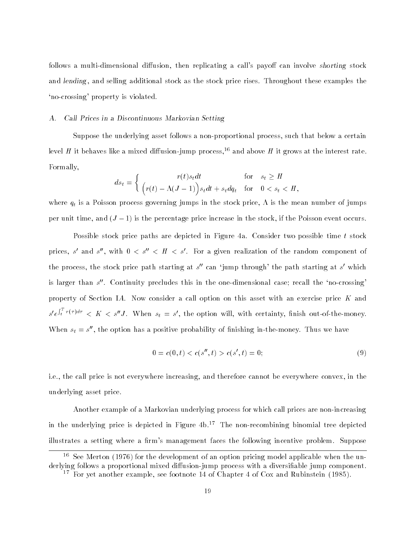follows a multi-dimensional diffusion, then replicating a call's payoff can involve shorting stock and lending, and selling additional stock as the stock price rises. Throughout these examples the `no-crossing' property is violated.

# A. Call Prices in a Discontinuous Markovian Setting

Suppose the underlying asset follows a non-proportional process, such that below a certain level H it behaves like a mixed diffusion-jump process,<sup>16</sup> and above H it grows at the interest rate. Formally,

$$
ds_t = \begin{cases} r(t)s_t dt & \text{for } s_t \ge H \\ \left(r(t) - \Lambda(J-1)\right)s_t dt + s_t dq_t & \text{for } 0 < s_t < H, \end{cases}
$$

where  $q_t$  is a Poisson process governing jumps in the stock price,  $\Lambda$  is the mean number of jumps per unit time, and  $(J-1)$  is the percentage price increase in the stock, if the Poisson event occurs.

Possible stock price paths are depicted in Figure 4a. Consider two possible time t stock prices, s' and s'', with  $0 < s'' < H < s'$ . For a given realization of the random component of the process, the stock price path starting at s' can 'jump through' the path starting at s' which is larger than s''. Continuity precludes this in the one-dimensional case; recall the 'no-crossing' property of Section IA. Now consider a call option on this asset with an exercise price K and  $s' e^{\int_t^T r(\tau)d\tau} < K < s''J$ . When  $s_t = s'$ , the option will, with certainty, finish out-of-the-money. When  $s_t = s''$ , the option has a positive probability of finishing in-the-money. Thus we have

$$
0 = c(0, t) < c(s'', t) > c(s', t) = 0; \tag{9}
$$

i.e., the call price is not everywhere increasing, and therefore cannot be everywhere convex, in the underlying asset price.

Another example of a Markovian underlying process for which call prices are non-increasing in the underlying price is depicted in Figure  $4b$ .<sup>17</sup> The non-recombining binomial tree depicted illustrates a setting where a firm's management faces the following incentive problem. Suppose

 $\sim$  See Merton (1976) for the development of an option pricing model applicable when the underlying follows a proportional mixed diffusion-jump process with a diversifiable jump component.

<sup>17</sup> For yet another example, see footnote 14 of Chapter 4 of Cox and Rubinstein (1985).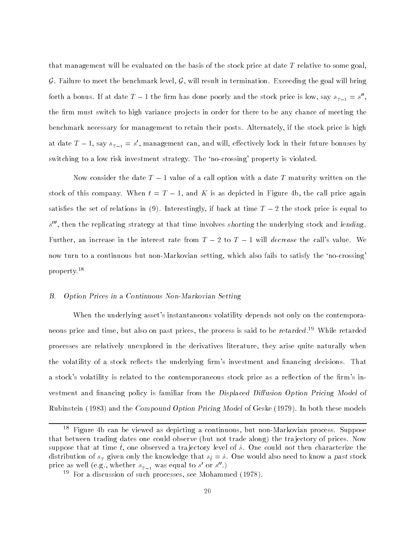that management will be evaluated on the basis of the stock price at date T relative to some goal, G. Failure to meet the benchmark level,  $G$ , will result in termination. Exceeding the goal will bring forth a bonus. If at date  $T-1$  the firm has done poorly and the stock price is low, say  $s_{_{T-1}}=s^{\prime\prime},$ the firm must switch to high variance projects in order for there to be any chance of meeting the benchmark necessary for management to retain their posts. Alternately, if the stock price is high at date  $T-1$ , say  $s_{T-1} = s'$ , management can, and will, effectively lock in their future bonuses by switching to a low risk investment strategy. The 'no-crossing' property is violated.

Now consider the date  $T-1$  value of a call option with a date  $T$  maturity written on the stock of this company. When  $t = T - 1$ , and K is as depicted in Figure 4b, the call price again satisfies the set of relations in (9). Interestingly, if back at time  $T-2$  the stock price is equal to s''', then the replicating strategy at that time involves shorting the underlying stock and lending. Further, an increase in the interest rate from  $T - 2$  to  $T - 1$  will *decrease* the call's value. We now turn to a continuous but non-Markovian setting, which also fails to satisfy the `no-crossing' property.18

#### $B.$ B. Option Prices in a Continuous Non-Markovian Setting

When the underlying asset's instantaneous volatility depends not only on the contemporaneous price and time, but also on past prices, the process is said to be retarded.<sup>19</sup> While retarded processes are relatively unexplored in the derivatives literature, they arise quite naturally when the volatility of a stock reflects the underlying firm's investment and financing decisions. That a stock's volatility is related to the contemporaneous stock price as a reflection of the firm's investment and financing policy is familiar from the Displaced Diffusion Option Pricing Model of Rubinstein (1983) and the Compound Option Pricing Model of Geske (1979). In both these models

<sup>18</sup> Figure 4b can be viewed as depicting a continuous, but non-Markovian process. Suppose that between trading dates one could observe (but not trade along) the tra jectory of prices. Now suppose that at time  $\tilde{t}$ , one observed a trajectory level of  $\tilde{s}$ . One could not then characterize the distribution of s <sup>T</sup> given only the knowledge that st = s. One would also need to know a past stock price as well (e.g., whether  $s_{T-1}$  was equal to s' or s''.)

<sup>19</sup> For a discussion of such processes, see Mohammed (1978).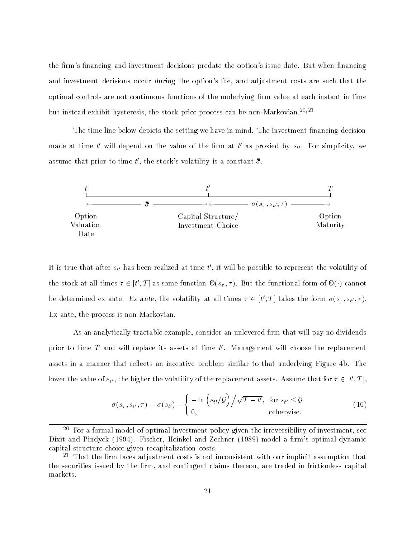the firm's financing and investment decisions predate the option's issue date. But when financing and investment decisions occur during the option's life, and adjustment costs are such that the optimal controls are not continuous functions of the underlying firm value at each instant in time but instead exhibit hysteresis, the stock price process can be non-Markovian.<sup>20,21</sup>

The time line below depicts the setting we have in mind. The investment-financing decision made at time t' will depend on the value of the firm at t' as proxied by  $s_{t'}$ . For simplicity, we assume that prior to time  $t'$ , the stock's volatility is a constant  $\bar{\bar{\sigma}}$ .



It is true that after  $s_{t'}$  has been realized at time  $t'$ , it will be possible to represent the volatility of the stock at all times  $\tau \in [t', T]$  as some function  $\Theta(s_{\tau}, \tau)$ . But the functional form of  $\Theta(\cdot)$  cannot be determined ex ante. Ex ante, the volatility at all times  $\tau \in [t',T]$  takes the form  $\sigma(s_{\tau}, s_{t'}, \tau)$ . Ex ante, the process is non-Markovian.

As an analytically tractable example, consider an unlevered firm that will pay no dividends prior to time T and will replace its assets at time  $t'$ . Management will choose the replacement assets in a manner that reflects an incentive problem similar to that underlying Figure 4b. The lower the value of  $s_{t'}$ , the higher the volatility of the replacement assets. Assume that for  $\tau \in [t', T]$ ,

$$
\sigma(s_{\tau}, s_{t'}, \tau) = \sigma(s_{t'}) = \begin{cases} -\ln\left(s_{t'}/\mathcal{G}\right) \middle/ \sqrt{T - t'}, & \text{for } s_{t'} \leq \mathcal{G} \\ 0, & \text{otherwise.} \end{cases}
$$
(10)

<sup>20</sup> For a formal model of optimal investment policy given the irreversibility of investment, see Dixit and Pindyck (1994). Fischer, Heinkel and Zechner (1989) model a firm's optimal dynamic capital structure choice given recapitalization costs.

<sup>21</sup> That the rm faces adjustment costs is not inconsistent with our implicit assumption that the securities issued by the firm, and contingent claims thereon, are traded in frictionless capital markets.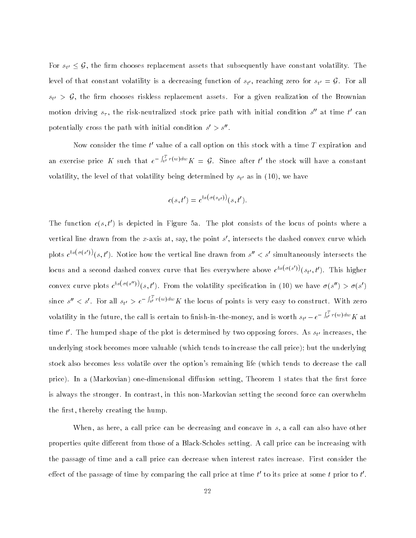For  $s_{t'} \leq \mathcal{G}$ , the firm chooses replacement assets that subsequently have constant volatility. The level of that constant volatility is a decreasing function of  $s_{t'}$ , reaching zero for  $s_{t'} \equiv {\bm g}$ . For all  $s_{t'} > G$ , the firm chooses riskless replacement assets. For a given realization of the Brownian motion driving  $s_{\tau}$ , the risk-neutralized stock price path with initial condition s'' at time t' can potentially cross the path with initial condition  $s' > s''$ .

Now consider the time  $t'$  value of a call option on this stock with a time  $T$  expiration and an exercise price K such that  $e^{-\int_{t'}^{1} r(w)dw} K = \mathcal{G}$ . Since after t' the stock will have a constant volatility, the level of that volatility being determined by  $s_{t'}$  as in (10), we have

$$
c(s,t') = c^{bs(\sigma(s_{t'}))}(s,t').
$$

The function  $c(s, t')$  is depicted in Figure 5a. The plot consists of the locus of points where a vertical line drawn from the x-axis at, say, the point  $s'$ , intersects the dashed convex curve which plots  $c^{bs(\sigma(s'))}(s,t')$ . Notice how the vertical line drawn from  $s'' < s'$  simultaneously intersects the locus and a second dashed convex curve that lies everywhere above  $c^{bs(\sigma(s'))}(s_{t'},t')$ . This higher convex curve plots  $c^{bs(\sigma(s''))}(s,t')$ . From the volatility specification in (10) we have  $\sigma(s'') > \sigma(s')$ since  $s'' < s'$ . For all  $s_{t'} > e^{-\int_{t'}^{T} r(w)dw} K$  the locus of points is very easy to construct. With zero volatility in the future, the call is certain to finish-in-the-money, and is worth  $s_{t'}-e^{-\int_{t'}^{t}r(w)dw}K$  at time t'. The humped shape of the plot is determined by two opposing forces. As  $s_{t'}$  increases, the underlying stock becomes more valuable (which tends to increase the call price); but the underlying stock also becomes less volatile over the option's remaining life (which tends to decrease the call price). In a (Markovian) one-dimensional diffusion setting, Theorem 1 states that the first force is always the stronger. In contrast, in this non-Markovian setting the second force can overwhelm the first, thereby creating the hump.

When, as here, a call price can be decreasing and concave in s, a call can also have other properties quite different from those of a Black-Scholes setting. A call price can be increasing with the passage of time and a call price can decrease when interest rates increase. First consider the effect of the passage of time by comparing the call price at time  $t'$  to its price at some t prior to  $t'$ .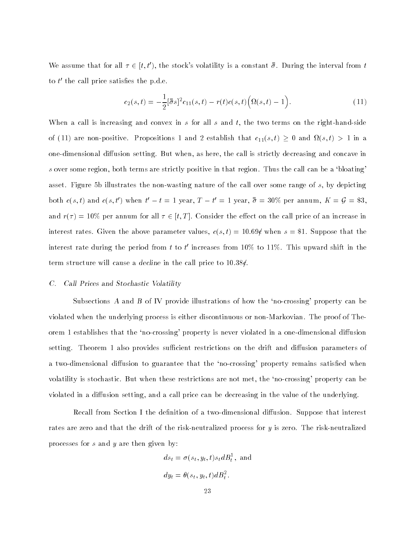We assume that for all  $\tau \in [t, t')$ , the stock's volatility is a constant  $\bar{\bar{\sigma}}$ . During the interval from t to  $t'$  the call price satisfies the p.d.e.

$$
c_2(s,t) = -\frac{1}{2} [\bar{\bar{\sigma}}s]^2 c_{11}(s,t) - r(t)c(s,t) \Big( \Omega(s,t) - 1 \Big). \tag{11}
$$

When a call is increasing and convex in s for all s and t, the two terms on the right-hand-side of (22) are non-position 2 to positions 2 and 2 establish that c11(s; t)  $\geq$  y and  $\geq$  (s; t)  $\geq$  20 and 2 one-dimensional diffusion setting. But when, as here, the call is strictly decreasing and concave in s over some region, both terms are strictly positive in that region. Thus the call can be a 'bloating' asset. Figure 5b illustrates the non-wasting nature of the call over some range of s, by depicting both  $c(s, t)$  and  $c(s, t')$  when  $t'-t=1$  year,  $T-t'=1$  year,  $\bar{\sigma} = 30\%$  per annum,  $K = \mathcal{G} = \$3$ , and  $r(\tau) = 10\%$  per annum for all  $\tau \in [t, T]$ . Consider the effect on the call price of an increase in interest rates. Given the above parameter values,  $c(s, t) = 10.69\ell$  when  $s = $1$ . Suppose that the interest rate during the period from t to t' increases from  $10\%$  to  $11\%$ . This upward shift in the term structure will cause a decline in the call price to 10.38 $\ell$ .

# C. Call Prices and Stochastic Volatility

Subsections A and B of IV provide illustrations of how the `no-crossing' property can be violated when the underlying process is either discontinuous or non-Markovian. The proof of Theorem 1 establishes that the 'no-crossing' property is never violated in a one-dimensional diffusion setting. Theorem 1 also provides sufficient restrictions on the drift and diffusion parameters of a two-dimensional diffusion to guarantee that the 'no-crossing' property remains satisfied when volatility is stochastic. But when these restrictions are not met, the `no-crossing' property can be violated in a diffusion setting, and a call price can be decreasing in the value of the underlying.

Recall from Section I the definition of a two-dimensional diffusion. Suppose that interest rates are zero and that the drift of the risk-neutralized process for y is zero. The risk-neutralized processes for s and y are then given by:

$$
ds_t = \sigma(s_t, y_t, t)s_t dB_t^1
$$
, and  

$$
dy_t = \theta(s_t, y_t, t) dB_t^2
$$
.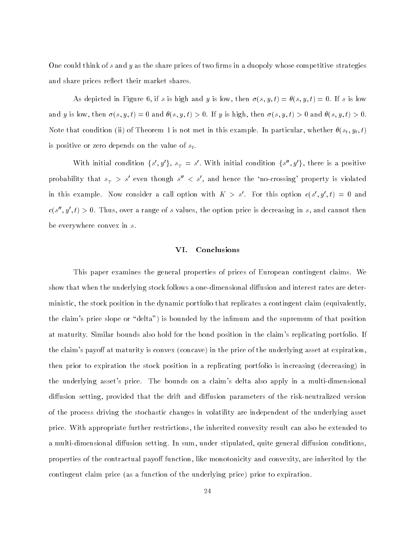One could think of  $s$  and  $y$  as the share prices of two firms in a duopoly whose competitive strategies and share prices reflect their market shares.

As depicted in Figure 6, if s is high and y is low, then  $\sigma(s, y, t) = \theta(s, y, t) = 0$ . If s is low and y is low, then  $\sigma(s, y, t) = 0$  and  $\theta(s, y, t) > 0$ . If y is high, then  $\sigma(s, y, t) > 0$  and  $\theta(s, y, t) > 0$ . Note that condition (ii) of Theorem 1 is not met in this example. In particular, whether  $\theta(s_t, y_t, t)$ is positive or zero depends on the value of  $s_t$ .

With initial condition  $\{s', y'\}$ ,  $s_T = s'$ . With initial condition  $\{s'', y'\}$ , there is a positive probability that  $s<sub>T</sub> > s'$  even though  $s'' < s'$ , and hence the 'no-crossing' property is violated in this example. Now consider a call option with  $K > s'$ . For this option  $c(s', y', t) = 0$  and  $c(s'', y', t) > 0$ . Thus, over a range of s values, the option price is decreasing in s, and cannot then be everywhere convex in s.

# VI. Conclusions

This paper examines the general properties of prices of European contingent claims. We show that when the underlying stock follows a one-dimensional diffusion and interest rates are deterministic, the stock position in the dynamic portfolio that replicates a contingent claim (equivalently, the claim's price slope or "delta") is bounded by the infimum and the supremum of that position at maturity. Similar bounds also hold for the bond position in the claim's replicating portfolio. If the claim's payoff at maturity is convex (concave) in the price of the underlying asset at expiration, then prior to expiration the stock position in a replicating portfolio is increasing (decreasing) in the underlying asset's price. The bounds on a claim's delta also apply in a multi-dimensional diffusion setting, provided that the drift and diffusion parameters of the risk-neutralized version of the process driving the stochastic changes in volatility are independent of the underlying asset price. With appropriate further restrictions, the inherited convexity result can also be extended to a multi-dimensional diffusion setting. In sum, under stipulated, quite general diffusion conditions, properties of the contractual payoff function, like monotonicity and convexity, are inherited by the contingent claim price (as a function of the underlying price) prior to expiration.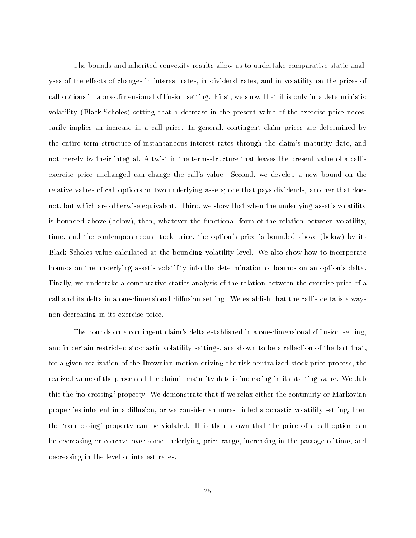The bounds and inherited convexity results allow us to undertake comparative static analyses of the effects of changes in interest rates, in dividend rates, and in volatility on the prices of call options in a one-dimensional diffusion setting. First, we show that it is only in a deterministic volatility (Black-Scholes) setting that a decrease in the present value of the exercise price necessarily implies an increase in a call price. In general, contingent claim prices are determined by the entire term structure of instantaneous interest rates through the claim's maturity date, and not merely by their integral. A twist in the term-structure that leaves the present value of a call's exercise price unchanged can change the call's value. Second, we develop a new bound on the relative values of call options on two underlying assets; one that pays dividends, another that does not, but which are otherwise equivalent. Third, we show that when the underlying asset's volatility is bounded above (below), then, whatever the functional form of the relation between volatility, time, and the contemporaneous stock price, the option's price is bounded above (below) by its Black-Scholes value calculated at the bounding volatility level. We also show how to incorporate bounds on the underlying asset's volatility into the determination of bounds on an option's delta. Finally, we undertake a comparative statics analysis of the relation between the exercise price of a call and its delta in a one-dimensional diffusion setting. We establish that the call's delta is always non-decreasing in its exercise price.

The bounds on a contingent claim's delta established in a one-dimensional diffusion setting, and in certain restricted stochastic volatility settings, are shown to be a reflection of the fact that, for a given realization of the Brownian motion driving the risk-neutralized stock price process, the realized value of the process at the claim's maturity date is increasing in its starting value. We dub this the `no-crossing' property. We demonstrate that if we relax either the continuity or Markovian properties inherent in a diffusion, or we consider an unrestricted stochastic volatility setting, then the `no-crossing' property can be violated. It is then shown that the price of a call option can be decreasing or concave over some underlying price range, increasing in the passage of time, and decreasing in the level of interest rates.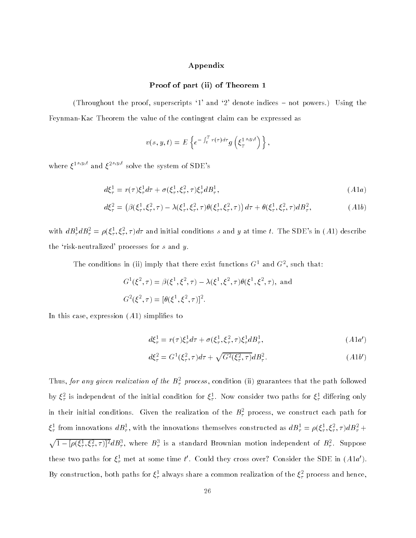# Appendix

# Proof of part (ii) of Theorem 1

(Throughout the proof, superscripts '1' and '2' denote indices  $-$  not powers.) Using the Feynman-Kac Theorem the value of the contingent claim can be expressed as

$$
v(s, y, t) = E\left\{e^{-\int_t^T r(\tau)d\tau}g\left(\xi_T^{1^{s,y,t}}\right)\right\},\,
$$

where  $\xi^{1^s,y,\iota}$  and  $\xi^{2^s,y,\iota}$  solve the system of SDE's

$$
d\xi_{\tau}^{1} = r(\tau)\xi_{\tau}^{1}d\tau + \sigma(\xi_{\tau}^{1}, \xi_{\tau}^{2}, \tau)\xi_{\tau}^{1}dB_{\tau}^{1}, \tag{A1a}
$$

$$
d\xi_{\tau}^{2} = (\beta(\xi_{\tau}^{1}, \xi_{\tau}^{2}, \tau) - \lambda(\xi_{\tau}^{1}, \xi_{\tau}^{2}, \tau) \theta(\xi_{\tau}^{1}, \xi_{\tau}^{2}, \tau)) d\tau + \theta(\xi_{\tau}^{1}, \xi_{\tau}^{2}, \tau) dB_{\tau}^{2},
$$
 (A1b)

with  $dB_{\tau}^1 dB_{\tau}^2 = \rho(\xi_{\tau}^1, \xi_{\tau}^2, \tau) d\tau$  and initial conditions s and y at time t. The SDE's in (A1) describe the 'risk-neutralized' processes for  $s$  and  $y$ .

The conditions in (ii) imply that there exist functions G1 and G2 , such that:

$$
G^{1}(\xi^{2}, \tau) = \beta(\xi^{1}, \xi^{2}, \tau) - \lambda(\xi^{1}, \xi^{2}, \tau)\theta(\xi^{1}, \xi^{2}, \tau), \text{ and}
$$
  

$$
G^{2}(\xi^{2}, \tau) = [\theta(\xi^{1}, \xi^{2}, \tau)]^{2}.
$$

In this case, expression  $(A1)$  simplifies to

$$
d\xi_{\tau}^{1} = r(\tau)\xi_{\tau}^{1}d\tau + \sigma(\xi_{\tau}^{1}, \xi_{\tau}^{2}, \tau)\xi_{\tau}^{1}dB_{\tau}^{1}, \tag{A1a'}
$$

$$
d\xi_{\tau}^{2} = G^{1}(\xi_{\tau}^{2}, \tau)d\tau + \sqrt{G^{2}(\xi_{\tau}^{2}, \tau)}dB_{\tau}^{2}.
$$
\n(A1b')

Thus, for any given realization of the  $B_T$  process, condition (ii) guarantees that the path followed by  $\zeta_{\tau}$  is independent of the initial condition for  $\zeta_{\tau}$ . Now consider two paths for  $\zeta_{\tau}$  differing only in their initial conditions. Given the realization of the  $D_\tau$  process, we construct each path for  $\zeta_{\tau}$  from innovations  $a_{\mathcal{D}_{\tau}}$ , with the innovations themselves constructed as  $a_{\mathcal{D}_{\tau}} = \rho(\zeta_{\tau}, \zeta_{\tau}, \tau) a_{\mathcal{D}_{\tau}} + \eta_a$  $\sqrt{1-[\rho(\xi_7^1,\xi_7^2,\tau)]^2}dB_{\tau}^3$ , where  $B_{\tau}^3$  is a standard Brownian motion independent of  $B_{\tau}^2$ . Suppose these two paths for  $\xi^1_\tau$  met at some time  $t'.$  Could they cross over? Consider the SDE in  $(A1a').$ By construction, both paths for  $\xi_{\tau}$  always share a common realization of the  $\xi_{\tau}$  process and hence,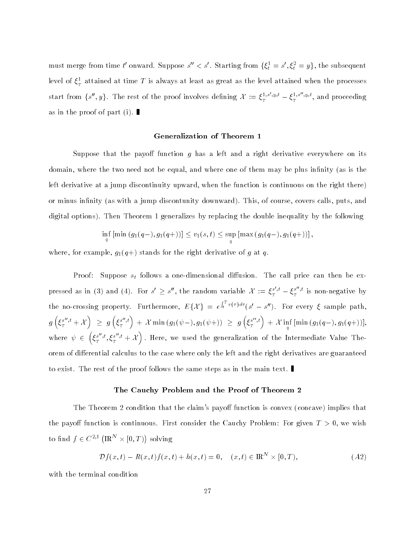must merge from time  $t'$  onward. Suppose  $s'' < s'$ . Starting from  $\{\xi^1_t = s', \xi^2_t = y\}$ , the subsequent level of  $\xi_{T}^{-}$  attained at time  $T$  is always at least as great as the level attained when the processes start from  $\{s'',y\}$ . The rest of the proof involves defining  $\mathcal{X}:=\xi_T^{1,s',y,t}-\xi_T^{1,s'',y,t},$  a  $T$ , and proceeding as in the proof of part (i).

# Generalization of Theorem 1

Suppose that the payoff function q has a left and a right derivative everywhere on its domain, where the two need not be equal, and where one of them may be plus infinity (as is the left derivative at a jump discontinuity upward, when the function is continuous on the right there) or minus infinity (as with a jump discontunity downward). This, of course, covers calls, puts, and digital options). Then Theorem 1 generalizes by replacing the double inequality by the following

$$
\inf_{q} [\min(g_1(q-), g_1(q+))] \leq v_1(s,t) \leq \sup_{q} [\max(g_1(q-), g_1(q+))],
$$

where, for example,  $g_1(q+)$  stands for the right derivative of g at q.

Proof: Suppose  $s_t$  follows a one-dimensional diffusion. The call price can then be expressed as in (3) and (4). For  $s' \geq s''$ , the random variable  $\mathcal{X} := \xi_T^{s',t} - \xi_T^{s'',t}$  is  $T$  by by by by by by by by by by  $\mathcal V$ the no-crossing property. Furthermore, EfX g = e  $\int_t^T r(\tau)d\tau$  (s' - s''). For every  $\xi$  sample path,  $g\left(\xi_T^{s'',t}+\mathcal{X}\right) \,\,\geq\,\,$  $\Big) \;\; \geq \;\; g\left(\xi_r^{s'',t}\right) \; + \; {\cal X} \min\left(g_1(\psi-),g_1(\psi+)\right) \;\geq \; g\left(\xi_r^{s'',t}\right) \; + \; {\cal X} \inf_q \, [\min\left(g_1(q-),g_1(q+)\right)],$ where  $\psi \in (\xi^{s'',t},\xi)$   $\{f^{s'',t}_T, f^{s'',t}_T + \mathcal{X}\}$  . Here, we used the generalization of the Intermediate Value Theorem of differential calculus to the case where only the left and the right derivatives are guaranteed to exist. The rest of the proof follows the same steps as in the main text.

#### The Cauchy Problem and the Proof of Theorem 2

The Theorem 2 condition that the claim's payoff function is convex (concave) implies that the payoff function is continuous. First consider the Cauchy Problem: For given  $T > 0$ , we wish to find  $f \in C^{2,1} (\mathbb{R}^N \times [0,T))$  solving

$$
\mathcal{D}f(x,t) - R(x,t)f(x,t) + h(x,t) = 0, \quad (x,t) \in \mathbb{R}^{N} \times [0,T),
$$
\n(A2)

with the terminal condition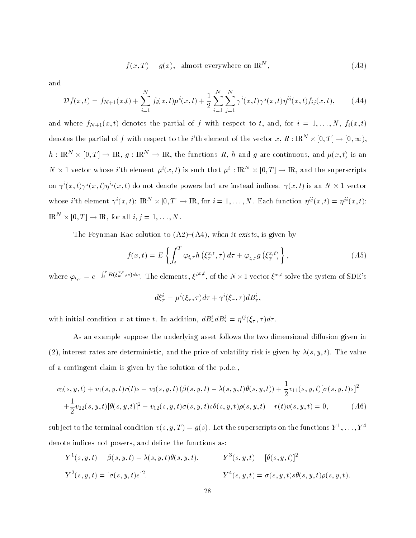$$
f(x,T) = g(x), \text{ almost everywhere on } \mathbb{R}^N,
$$
\n(A3)

and

$$
\mathcal{D}f(x,t) = f_{N+1}(x,t) + \sum_{i=1}^{N} f_i(x,t)\mu^{i}(x,t) + \frac{1}{2} \sum_{i=1}^{N} \sum_{j=1}^{N} \gamma^{i}(x,t)\gamma^{j}(x,t)\eta^{ij}(x,t) f_{ij}(x,t), \quad (A4)
$$

and where  $f_{N+1}(x,t)$  denotes the partial of f with respect to t, and, for  $i = 1, ..., N$ ,  $f_i(x,t)$ denotes the partial of f with respect to the *i*'th element of the vector  $x, R: \mathbb{R}^N \times [0,T] \to [0,\infty)$ ,  $h$  : IRN  $\rightarrow$   $\infty$   $[0, 1]$   $\rightarrow$  IR,  $q$  : IRN  $\rightarrow$  IR, the functions R, h and q are continuous, and  $\mu(x, t)$  is an  $N \times 1$  vector whose i'th element  $\mu^i(x,t)$  is such that  $\mu^i : \mathbb{R}^N \times [0,T] \to \mathbb{R}$ , and the superscripts on  $\gamma$  (x, t) $\gamma$ °(x, t) $\eta$ °(x, t) do not denote powers but are instead indices.  $\gamma(x, t)$  is an  $N \times 1$  vector whose i'th element  $\gamma^{i}(x, t)$ :  $\mathbb{R}^{N} \times [0, T] \to \mathbb{R}$ , for  $i = 1, ..., N$ . Each function  $\eta^{ij}(x, t) = \eta^{ji}(x, t)$ : IR  $X \mid 0, I \mid \rightarrow$  IR, for all  $i, j = 1, \ldots, N$ .

The Feynman-Kac solution to  $(A2)-(A4)$ , when it exists, is given by

$$
f(x,t) = E\left\{ \int_{t}^{T} \varphi_{t,\tau} h\left(\xi_{\tau}^{x,t}, \tau\right) d\tau + \varphi_{t,T} g\left(\xi_{T}^{x,t}\right) \right\},\tag{A5}
$$

where  $\varphi_{t,\tau}=e^{-\int_t^\tau R(\xi_{w}^{x,t},w)dw}$ . The elements,  $\xi^{i^x,t}$ , of the  $N\times 1$  vector  $\xi^{x,t}$  solve the system of SDE's

$$
d\xi_{\tau}^{i} = \mu^{i}(\xi_{\tau}, \tau)d\tau + \gamma^{i}(\xi_{\tau}, \tau)dB_{\tau}^{i},
$$

with initial condition x at time t. In addition,  $dB^i_{\tau}dB^j_{\tau} = \eta^{ij} (\xi_{\tau}, \tau)d\tau$ .

As an example suppose the underlying asset follows the two dimensional diffusion given in (2), interest rates are deterministic, and the price of volatility risk is given by  $\lambda(s, y, t)$ . The value of a contingent claim is given by the solution of the p.d.e.,

$$
v_3(s, y, t) + v_1(s, y, t)r(t)s + v_2(s, y, t) (\beta(s, y, t) - \lambda(s, y, t)\theta(s, y, t)) + \frac{1}{2}v_{11}(s, y, t)[\sigma(s, y, t)s]^2 + \frac{1}{2}v_{22}(s, y, t)[\theta(s, y, t)]^2 + v_{12}(s, y, t)\sigma(s, y, t)s\theta(s, y, t)\rho(s, y, t) - r(t)v(s, y, t) = 0,
$$
(A6)

subject to the terminal condition  $v(s, y, I) = q(s)$ . Let the superscripts on the functions  $Y^{\top}, \ldots, Y^{\top}$ denote indices not powers, and define the functions as:

$$
Y^1(s, y, t) = \beta(s, y, t) - \lambda(s, y, t)\theta(s, y, t).
$$
  
\n
$$
Y^3(s, y, t) = [\theta(s, y, t)]^2
$$
  
\n
$$
Y^2(s, y, t) = [\sigma(s, y, t)s]^2.
$$
  
\n
$$
Y^4(s, y, t) = \sigma(s, y, t)s\theta(s, y, t)\rho(s, y, t).
$$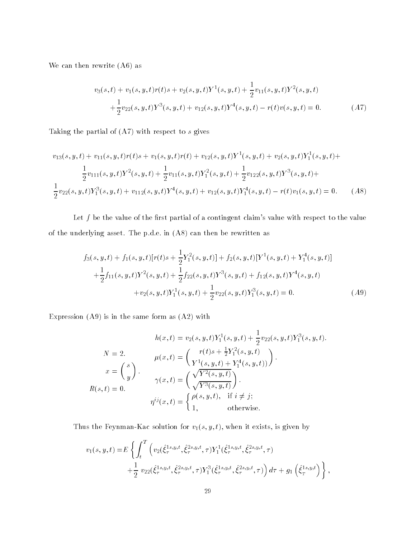We can then rewrite (A6) as

$$
v_3(s,t) + v_1(s,y,t)r(t)s + v_2(s,y,t)Y^1(s,y,t) + \frac{1}{2}v_{11}(s,y,t)Y^2(s,y,t)
$$
  
+ 
$$
\frac{1}{2}v_{22}(s,y,t)Y^3(s,y,t) + v_{12}(s,y,t)Y^4(s,y,t) - r(t)v(s,y,t) = 0.
$$
 (A7)

Taking the partial of  $(A7)$  with respect to  $s$  gives

$$
v_{13}(s, y, t) + v_{11}(s, y, t)r(t)s + v_{1}(s, y, t)r(t) + v_{12}(s, y, t)Y^{1}(s, y, t) + v_{2}(s, y, t)Y^{1}_{1}(s, y, t) + \frac{1}{2}v_{111}(s, y, t)Y^{2}(s, y, t) + \frac{1}{2}v_{11}(s, y, t)Y^{2}_{1}(s, y, t) + \frac{1}{2}v_{122}(s, y, t)Y^{3}(s, y, t) + \frac{1}{2}v_{22}(s, y, t)Y^{3}_{1}(s, y, t) + v_{112}(s, y, t)Y^{4}(s, y, t) + v_{12}(s, y, t)Y^{4}_{1}(s, y, t) - r(t)v_{1}(s, y, t) = 0.
$$
 (A8)

Let  $f$  be the value of the first partial of a contingent claim's value with respect to the value of the underlying asset. The p.d.e. in (A8) can then be rewritten as

$$
f_3(s, y, t) + f_1(s, y, t)[r(t)s + \frac{1}{2}Y_1^2(s, y, t)] + f_2(s, y, t)[Y^1(s, y, t) + Y_1^4(s, y, t)]
$$
  
+ 
$$
\frac{1}{2}f_{11}(s, y, t)Y^2(s, y, t) + \frac{1}{2}f_{22}(s, y, t)Y^3(s, y, t) + f_{12}(s, y, t)Y^4(s, y, t)
$$
  
+ 
$$
v_2(s, y, t)Y_1^1(s, y, t) + \frac{1}{2}v_{22}(s, y, t)Y_1^3(s, y, t) = 0.
$$
 (A9)

Expression  $(A9)$  is in the same form as  $(A2)$  with

$$
h(x,t) = v_2(s,y,t)Y_1^1(s,y,t) + \frac{1}{2}v_{22}(s,y,t)Y_1^3(s,y,t).
$$
  
\n
$$
N = 2.
$$
  
\n
$$
\mu(x,t) = \begin{pmatrix} r(t)s + \frac{1}{2}Y_1^2(s,y,t) \\ Y^1(s,y,t) + Y_1^4(s,y,t) \end{pmatrix}.
$$
  
\n
$$
x = \begin{pmatrix} s \\ y \end{pmatrix}.
$$
  
\n
$$
R(s,t) = 0.
$$
  
\n
$$
\eta^{ij}(x,t) = \begin{cases} \rho(s,y,t), & \text{if } i \neq j; \\ 1, & \text{otherwise.} \end{cases}
$$

Thus the Feynman-Kac solution for  $v_1(s, y, t)$ , when it exists, is given by

$$
v_1(s, y, t) = E \left\{ \int_t^T \left( v_2(\hat{\xi}_{\tau}^{1s, y, t}, \hat{\xi}_{\tau}^{2s, y, t}, \tau) Y_1^1(\hat{\xi}_{\tau}^{1s, y, t}, \hat{\xi}_{\tau}^{2s, y, t}, \tau) + \frac{1}{2} v_{22}(\hat{\xi}_{\tau}^{1s, y, t}, \hat{\xi}_{\tau}^{2s, y, t}, \tau) Y_1^3(\hat{\xi}_{\tau}^{1s, y, t}, \hat{\xi}_{\tau}^{2s, y, t}, \tau) \right) d\tau + g_1 \left( \hat{\xi}_{\tau}^{1s, y, t} \right) \right\},
$$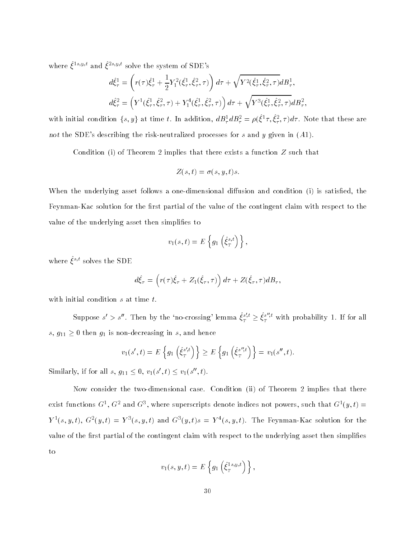where  $\xi^{1s,y,t}$  and  $\xi^{2s,y,t}$  solve the system of SDE's

$$
d\hat{\xi}_{\tau}^{1} = \left(r(\tau)\hat{\xi}_{\tau}^{1} + \frac{1}{2}Y_{1}^{2}(\hat{\xi}_{\tau}^{1}, \hat{\xi}_{\tau}^{2}, \tau)\right)d\tau + \sqrt{Y^{2}(\hat{\xi}_{\tau}^{1}, \hat{\xi}_{\tau}^{2}, \tau)}dB_{\tau}^{1},
$$
  

$$
d\hat{\xi}_{\tau}^{2} = \left(Y^{1}(\hat{\xi}_{\tau}^{1}, \hat{\xi}_{\tau}^{2}, \tau) + Y_{1}^{4}(\hat{\xi}_{\tau}^{1}, \hat{\xi}_{\tau}^{2}, \tau)\right)d\tau + \sqrt{Y^{3}(\hat{\xi}_{\tau}^{1}, \hat{\xi}_{\tau}^{2}, \tau)}dB_{\tau}^{2},
$$

with initial condition  $\{s, y\}$  at time t. In addition,  $a D_\tau^+ a D_\tau^+ = \rho(\xi^+ \tau, \xi^+_\tau, \tau) a \tau$ . Note that these are not the SDE's describing the risk-neutralized processes for  $s$  and  $y$  given in  $(A1)$ .

Condition (i) of Theorem 2 implies that there exists a function  $Z$  such that

$$
Z(s,t)=\sigma(s,y,t)s.
$$

When the underlying asset follows a one-dimensional diffusion and condition (i) is satisfied, the Feynman-Kac solution for the first partial of the value of the contingent claim with respect to the value of the underlying asset then simplifies to

$$
v_1(s,t) = E\left\{g_1\left(\hat{\xi}_T^{s,t}\right)\right\},\,
$$

where  $\xi$  is solves the SDE

$$
d\hat{\xi}_{\tau} = \left(r(\tau)\hat{\xi}_{\tau} + Z_1(\hat{\xi}_{\tau}, \tau)\right)d\tau + Z(\hat{\xi}_{\tau}, \tau)dB_{\tau},
$$

with initial condition  $s$  at time  $t$ .

Suppose  $s'>s''$ . Then by the 'no-crossing' lemma  $\hat{\xi}^{s',t}_T\geq \hat{\xi}^{s'',t}_T$  with probability 1. If for all s,  $g_{11} \geq 0$  then  $g_1$  is non-decreasing in s, and hence

$$
v_1(s',t) = E\left\{g_1\left(\hat{\xi}_T^{s',t}\right)\right\} \ge E\left\{g_1\left(\hat{\xi}_T^{s'',t}\right)\right\} = v_1(s'',t).
$$

Similarly, if for all  $s, g_{11} \leq 0, v_1(s', t) \leq v_1(s'', t)$ .

Now consider the two-dimensional case. Condition (ii) of Theorem 2 implies that there exist functions  $G_1, G_2$  and  $G_3$  , where superscripts denote indices not powers, such that  $G_1(y, t) =$  $Y^T(S, y, t)$ ,  $G^T(y, t) = Y^T(S, y, t)$  and  $G^T(y, t)$ s  $T = Y^T(S, y, t)$ . The Feynman-Kac solution for the value of the first partial of the contingent claim with respect to the underlying asset then simplifies to

$$
v_1(s, y, t) = E\left\{g_1\left(\hat{\xi}_T^{1s, y, t}\right)\right\},\,
$$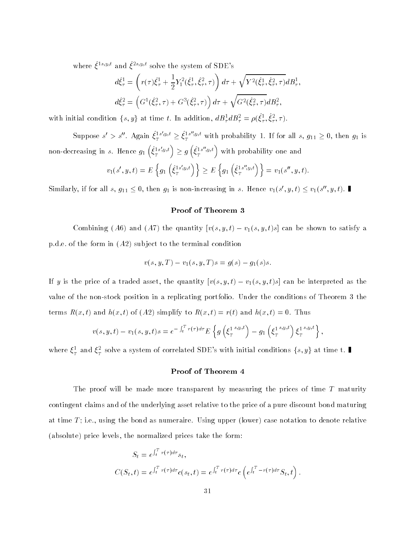where  $\xi^{1s,y,t}$  and  $\xi^{2s,y,t}$  solve the system of SDE's

$$
d\hat{\xi}_{\tau}^{1} = \left(r(\tau)\hat{\xi}_{\tau}^{1} + \frac{1}{2}Y_{1}^{2}(\hat{\xi}_{\tau}^{1}, \hat{\xi}_{\tau}^{2}, \tau)\right)d\tau + \sqrt{Y^{2}(\hat{\xi}_{\tau}^{1}, \hat{\xi}_{\tau}^{2}, \tau)}dB_{\tau}^{1},
$$
  

$$
d\hat{\xi}_{\tau}^{2} = \left(G^{1}(\hat{\xi}_{\tau}^{2}, \tau) + G^{3}(\hat{\xi}_{\tau}^{2}, \tau)\right)d\tau + \sqrt{G^{2}(\hat{\xi}_{\tau}^{2}, \tau)}dB_{\tau}^{2},
$$

with initial condition  $\{s, y\}$  at time t. In addition,  $aD_{\tau}aD_{\tau} = \rho(\xi_{\tau}, \xi_{\tau}, \tau)$ .

Suppose  $s' > s''$ . Again  $\hat{\xi}_T^{1s',y,t} \geq \hat{\xi}_T^{1s'',y,t}$  with probability 1. If for all  $s, g_{11} \geq 0$ , then  $g_1$  is non-decreasing in  $s$ . Hence  $g_1\left(\hat{\xi}_{\tau}^{1s',y,t}\right)\geq g\left(\hat{\xi}_{\tau}^{1s'',y,t}\right)$  with probability one and

$$
v_1(s', y, t) = E\left\{g_1\left(\hat{\xi}_T^{1s',y,t}\right)\right\} \ge E\left\{g_1\left(\hat{\xi}_T^{1s'',y,t}\right)\right\} = v_1(s'', y, t).
$$

Similarly, if for all s,  $g_{11} \le 0$ , then  $g_1$  is non-increasing in s. Hence  $v_1(s', y, t) \le v_1(s'', y, t)$ .

# Proof of Theorem 3

Combining (A6) and (A7) the quantity  $[v(s, y, t) - v_1(s, y, t)s]$  can be shown to satisfy a p.d.e. of the form in  $(A2)$  subject to the terminal condition

$$
v(s, y, T) - v_1(s, y, T)s = g(s) - g_1(s)s.
$$

If y is the price of a traded asset, the quantity  $[v(s, y, t) - v_1(s, y, t)s]$  can be interpreted as the value of the non-stock position in a replicating portfolio. Under the conditions of Theorem 3 the terms  $R(x, t)$  and  $h(x, t)$  of  $(A2)$  simplify to  $R(x, t) = r(t)$  and  $h(x, t) = 0$ . Thus

$$
v(s,y,t) - v_1(s,y,t)s = e^{-\int_t^T r(\tau)d\tau} E\left\{g\left(\xi_T^{1^{s,y,t}}\right) - g_1\left(\xi_T^{1^{s,y,t}}\right)\xi_T^{1^{s,y,t}}\right\},\,
$$

where  $\xi_T^1$  and  $\xi_T^2$  solve a system of correlated SDE's with initial conditions  $\{s,y\}$  at time t.  $\blacksquare$ 

# Proof of Theorem 4

The proof will be made more transparent by measuring the prices of time  $T$  maturity contingent claims and of the underlying asset relative to the price of a pure discount bond maturing at time  $T$ ; i.e., using the bond as numeraire. Using upper (lower) case notation to denote relative (absolute) price levels, the normalized prices take the form:

$$
S_t = e^{\int_t^T r(\tau)d\tau} s_t,
$$
  
\n
$$
C(S_t, t) = e^{\int_t^T r(\tau)d\tau} c(s_t, t) = e^{\int_t^T r(\tau)d\tau} c \left( e^{\int_t^T - r(\tau)d\tau} S_t, t \right).
$$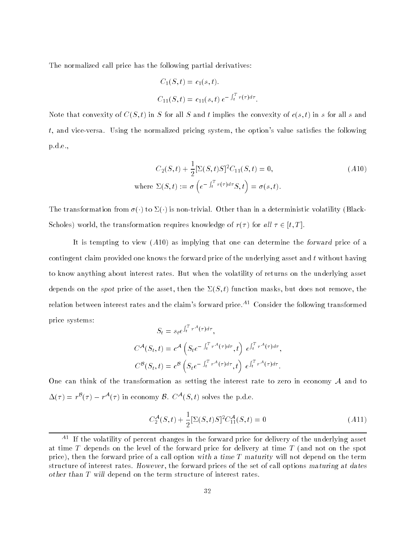The normalized call price has the following partial derivatives:

$$
C_1(S, t) = c_1(s, t).
$$
  
\n
$$
C_{11}(S, t) = c_{11}(s, t) e^{-\int_t^T r(\tau) d\tau}.
$$

Note that convexity of  $C(S, t)$  in S for all S and t implies the convexity of  $c(s, t)$  in s for all s and  $t$ , and vice-versa. Using the normalized pricing system, the option's value satisfies the following p.d.e.,

$$
C_2(S,t) + \frac{1}{2} [\Sigma(S,t)S]^2 C_{11}(S,t) = 0,
$$
  
where  $\Sigma(S,t) := \sigma \left( e^{-\int_t^T r(\tau)d\tau} S, t \right) = \sigma(s,t).$  (A10)

The transformation from  $\sigma(\cdot)$  to  $\Sigma(\cdot)$  is non-trivial. Other than in a deterministic volatility (Black-Scholes) world, the transformation requires knowledge of  $r(\tau)$  for all  $\tau \in [t, T]$ .

It is tempting to view (A10) as implying that one can determine the forward price of a contingent claim provided one knows the forward price of the underlying asset and  $t$  without having to know anything about interest rates. But when the volatility of returns on the underlying asset depends on the spot price of the asset, then the  $\Sigma(S, t)$  function masks, but does not remove, the relation between interest rates and the claim's forward price. $^{A1}$  Consider the following transformed price systems:

$$
S_t = s_t e^{\int_t^T r^A(\tau) d\tau},
$$
  
\n
$$
C^{\mathcal{A}}(S_t, t) = c^{\mathcal{A}} \left( S_t e^{-\int_t^T r^A(\tau) d\tau}, t \right) e^{\int_t^T r^A(\tau) d\tau},
$$
  
\n
$$
C^{\mathcal{B}}(S_t, t) = c^{\mathcal{B}} \left( S_t e^{-\int_t^T r^A(\tau) d\tau}, t \right) e^{\int_t^T r^A(\tau) d\tau}.
$$

One can think of the transformation as setting the interest rate to zero in economy <sup>A</sup> and to  $\Delta(\tau) = r^{\mathcal{B}}(\tau) - r^{\mathcal{A}}(\tau)$  in economy  $\mathcal{B}. C^{\mathcal{A}}(S, t)$  solves the p.d.e.

$$
C_2^{\mathcal{A}}(S,t) + \frac{1}{2} [\Sigma(S,t)S]^2 C_{11}^{\mathcal{A}}(S,t) = 0
$$
\n(A11)

 $\cdots$  If the volatility of percent changes in the forward price for delivery of the underlying asset  $\cdots$ at time  $T$  depends on the level of the forward price for delivery at time  $T$  (and not on the spot price), then the forward price of a call option with a time  $T$  maturity will not depend on the term structure of interest rates. However, the forward prices of the set of call options maturing at dates other than T will depend on the term structure of interest rates.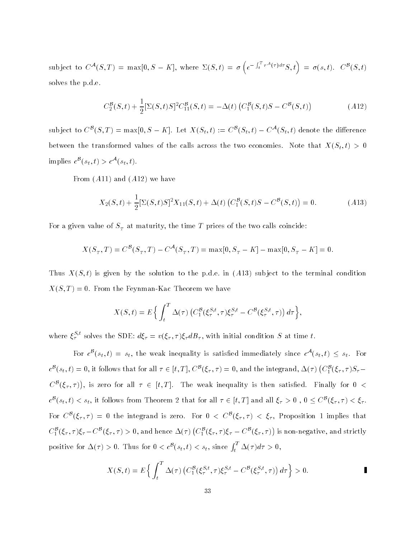subject to  $C^{\mathcal{A}}(S,T) = \max[0, S - K]$ , where  $\Sigma(S,t) = \sigma \left(e^{-\int_t^T r^{\mathcal{A}}(\tau) d\tau} S, t\right) = \sigma(s,t)$ .  $C^{\mathcal{B}}(S,t)$ solves the p.d.e.

$$
C_2^{\mathcal{B}}(S,t) + \frac{1}{2} [\Sigma(S,t)S]^2 C_{11}^{\mathcal{B}}(S,t) = -\Delta(t) \left( C_1^{\mathcal{B}}(S,t)S - C^{\mathcal{B}}(S,t) \right)
$$
(A12)

subject to  $C^{\mathcal{B}}(S,T) = \max[0, S - K]$ . Let  $X(S_t,t) := C^{\mathcal{B}}(S_t,t) - C^{\mathcal{A}}(S_t,t)$  denote the difference between the transformed values of the calls across the two economies. Note that  $X(S_t, t) > 0$ implies  $c^{\mathcal{B}}(s_t, t) > c^{\mathcal{A}}(s_t, t)$ .

From  $(A11)$  and  $(A12)$  we have

$$
X_2(S,t) + \frac{1}{2} [\Sigma(S,t)S]^2 X_{11}(S,t) + \Delta(t) \left( C_1^{\mathcal{B}}(S,t)S - C^{\mathcal{B}}(S,t) \right) = 0.
$$
 (A13)

For a given value of  $S_T$  at maturity, the time T prices of the two calls coincide:

$$
X(S_T, T) = C^{B}(S_T, T) - C^{A}(S_T, T) = \max[0, S_T - K] - \max[0, S_T - K] = 0.
$$

Thus  $X(S, t)$  is given by the solution to the p.d.e. in  $(A13)$  subject to the terminal condition  $X(S,T) = 0$ . From the Feynman-Kac Theorem we have

$$
X(S,t) = E\Big\{\int_t^T \Delta(\tau) \left(C_1^{\mathcal{B}}(\xi_{\tau}^{S,t}, \tau)\xi_{\tau}^{S,t} - C^{\mathcal{B}}(\xi_{\tau}^{S,t}, \tau)\right)d\tau\Big\},\,
$$

where  $\xi_{\tau}$  solves the SDE:  $d \xi_{\tau} = v(\xi_{\tau}, \tau) \xi_{\tau} d B_{\tau}$ , with initial condition S at time t.

For  $c^{\mathcal{B}}(s_t,t) = s_t$ , the weak inequality is satisfied immediately since  $c^{\mathcal{A}}(s_t,t) \leq s_t$ . For  $c^{\mathcal{B}}(s_t,t)=0,$  it follows that for all  $\tau\in[t,T],$   $C^{\mathcal{B}}(\xi_\tau,\tau)=0,$  and the integrand,  $\Delta(\tau)$   $\big(C^{\mathcal{B}}_1(\xi_\tau,\tau)S_\tau-\big)$  $C^{\mathcal{B}}(\xi_{\tau},\tau)$ ), is zero for all  $\tau \in [t,T]$ . The weak inequality is then satisfied. Finally for  $0 < \tau$  $c^{\mathcal{B}}(s_t,t) < s_t$ , it follows from Theorem 2 that for all  $\tau \in [t,T]$  and all  $\xi_{\tau} > 0$  ,  $0 \le C^{\mathcal{B}}(\xi_{\tau}, \tau) < \xi_{\tau}$ . For  $C^{\mathcal{B}}(\xi_{\tau}, \tau) = 0$  the integrand is zero. For  $0 < C^{\mathcal{B}}(\xi_{\tau}, \tau) < \xi_{\tau}$ , Proposition 1 implies that  $C_1^{\mathcal{B}}(\xi_\tau,\tau)\xi_\tau-C^{\mathcal{B}}(\xi_\tau,\tau)>0,$  and hence  $\Delta(\tau)\left(C_1^{\mathcal{B}}(\xi_\tau,\tau)\xi_\tau-C^{\mathcal{B}}(\xi_\tau,\tau)\right)$  is non-negative, and strictly positive for  $\Delta(\tau) > 0$ . Thus for  $0 < c^{\mathcal{B}}(s_t, t) < s_t$ , since  $\int_t^T \Delta(\tau) d\tau > 0$ ,

$$
X(S,t) = E\left\{ \int_t^T \Delta(\tau) \left( C_1^{\mathcal{B}}(\xi^{S,t}_{\tau}, \tau) \xi^{S,t}_{\tau} - C^{\mathcal{B}}(\xi^{S,t}_{\tau}, \tau) \right) d\tau \right\} > 0.
$$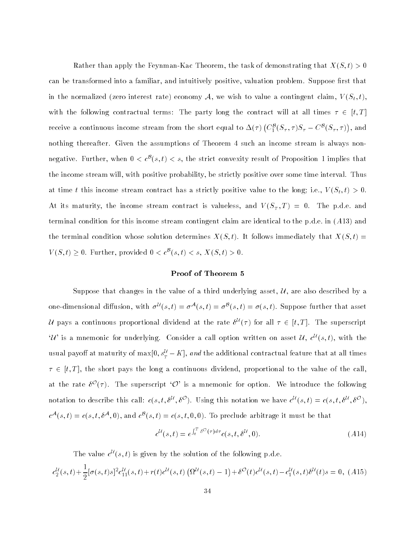Rather than apply the Feynman-Kac Theorem, the task of demonstrating that  $X(S,t) > 0$ can be transformed into a familiar, and intuitively positive, valuation problem. Suppose first that in the normalized (zero interest rate) economy A, we wish to value a contingent claim,  $V(S_t, t)$ , with the following contractual terms: The party long the contract will at all times  $\tau \in [t, T]$ receive a continuous income stream from the short equal to  $\Delta(\tau)$   $(C_1^\mathcal{B}(S_\tau, \tau)S_\tau - C^\mathcal{B}(S_\tau, \tau)),$  and nothing thereafter. Given the assumptions of Theorem 4 such an income stream is always nonnegative. Further, when  $0 < c^{\mathcal{B}}(s,t) < s$ , the strict convexity result of Proposition 1 implies that the income stream will, with positive probability, be strictly positive over some time interval. Thus at time t this income stream contract has a strictly positive value to the long; i.e.,  $V(S_t, t) > 0$ . At its maturity, the income stream contract is valueless, and  $V(S_T, T) = 0$ . The p.d.e. and terminal condition for this income stream contingent claim are identical to the p.d.e. in (A13) and the terminal condition whose solution determines  $X(S, t)$ . It follows immediately that  $X(S, t)$  =  $V(S,t) \geq 0$ . Further, provided  $0 < c^{\mathcal{B}}(s,t) < s$ ,  $X(S,t) > 0$ .

# Proof of Theorem 5

Suppose that changes in the value of a third underlying asset,  $U$ , are also described by a one-dimensional diffusion, with  $\sigma^{\mathcal{U}}(s,t) = \sigma^{\mathcal{A}}(s,t) = \sigma^{\mathcal{B}}(s,t) = \sigma(s,t)$ . Suppose further that asset U pays a continuous proportional dividend at the rate  $\delta^{U}(\tau)$  for all  $\tau \in [t, T]$ . The superscript  $\mathcal{U}'$  is a mnemonic for underlying. Consider a call option written on asset  $\mathcal{U}, c^{\mathcal{U}}(s,t)$ , with the usual payoff at maturity of max $[0, s_T^{\mathcal{U}} - K]$ , and the additional contractual feature that at all times  $\tau \in [t, T]$ , the short pays the long a continuous dividend, proportional to the value of the call, at the rate  $\delta^{\mathcal{O}}(\tau)$ . The superscript  $\mathcal{O}'$  is a mnemonic for option. We introduce the following notation to describe this call:  $c(s, t, \delta^{U}, \delta^{O})$ . Using this notation we have  $c^{U}(s, t) = c(s, t, \delta^{U}, \delta^{O})$ .  $c^{\mathcal{A}}(s,t) = c(s,t,\delta^{\mathcal{A}},0)$ , and  $c^{\mathcal{B}}(s,t) = c(s,t,0,0)$ . To preclude arbitrage it must be that

$$
c^{\mathcal{U}}(s,t) = e^{\int_t^T \delta^{\mathcal{O}}(\tau) d\tau} c(s,t,\delta^{\mathcal{U}},0). \tag{A14}
$$

The value  $c^{\mathcal{U}}(s,t)$  is given by the solution of the following p.d.e.

$$
c_2^{\mathcal{U}}(s,t) + \frac{1}{2} [\sigma(s,t)s]^2 c_{11}^{\mathcal{U}}(s,t) + r(t) c^{\mathcal{U}}(s,t) (\Omega^{\mathcal{U}}(s,t) - 1) + \delta^{\mathcal{O}}(t) c^{\mathcal{U}}(s,t) - c_1^{\mathcal{U}}(s,t) \delta^{\mathcal{U}}(t)s = 0, (A15)
$$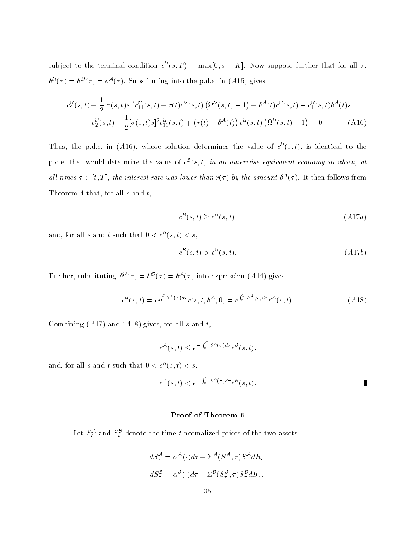subject to the terminal condition  $c^{\mathcal{U}}(s,T) = \max[0, s - K]$ . Now suppose further that for all  $\tau$ ,  $\delta^{\mathcal{U}}(\tau) = \delta^{\mathcal{O}}(\tau) = \delta^{\mathcal{A}}(\tau)$ . Substituting into the p.d.e. in (A15) gives

$$
c_2^{\mathcal{U}}(s,t) + \frac{1}{2} [\sigma(s,t)s]^2 c_{11}^{\mathcal{U}}(s,t) + r(t) c^{\mathcal{U}}(s,t) (\Omega^{\mathcal{U}}(s,t) - 1) + \delta^{\mathcal{A}}(t) c^{\mathcal{U}}(s,t) - c_1^{\mathcal{U}}(s,t) \delta^{\mathcal{A}}(t)s
$$
  
= 
$$
c_2^{\mathcal{U}}(s,t) + \frac{1}{2} [\sigma(s,t)s]^2 c_{11}^{\mathcal{U}}(s,t) + (r(t) - \delta^{\mathcal{A}}(t)) c^{\mathcal{U}}(s,t) (\Omega^{\mathcal{U}}(s,t) - 1) = 0.
$$
 (A16)

Thus, the p.d.e. in (A16), whose solution determines the value of  $c^{\mathcal{U}}(s,t)$ , is identical to the p.d.e. that would determine the value of  $c^{B}(s,t)$  in an otherwise equivalent economy in which, at all times  $\tau \in [t, 1]$ , the interest rate was lower than  $r(\tau)$  by the amount  $\sigma^{\bot}(\tau)$ . It then follows from Theorem 4 that, for all  $s$  and  $t$ ,

$$
c^{\mathcal{B}}(s,t) \ge c^{\mathcal{U}}(s,t) \tag{A17a}
$$

and, for all s and t such that  $0 < c^{\mathcal{B}}(s,t) < s$ ,

$$
c^{\mathcal{B}}(s,t) > c^{\mathcal{U}}(s,t). \tag{A17b}
$$

Further, substituting  $\delta^{\mathcal{U}}(\tau) = \delta^{\mathcal{O}}(\tau) = \delta^{\mathcal{A}}(\tau)$  into expression (A14) gives

$$
c^{\mathcal{U}}(s,t) = e^{\int_t^T \delta^{\mathcal{A}}(\tau) d\tau} c(s,t,\delta^{\mathcal{A}},0) = e^{\int_t^T \delta^{\mathcal{A}}(\tau) d\tau} c^{\mathcal{A}}(s,t).
$$
 (A18)

Combining  $(A17)$  and  $(A18)$  gives, for all s and t,

$$
c^{\mathcal{A}}(s,t) \leq e^{-\int_t^T \delta^{\mathcal{A}}(\tau)d\tau} c^{\mathcal{B}}(s,t),
$$

and, for all s and t such that  $0 < c^{\mathcal{B}}(s,t) < s$ ,

$$
c^{\mathcal{A}}(s,t) < e^{-\int_t^T \delta^{\mathcal{A}}(\tau)d\tau} c^{\mathcal{B}}(s,t).
$$

# Proof of Theorem 6

Let  $S_t^{\mathcal{A}}$  and  $S_t^{\mathcal{B}}$  denote the time  $t$  normalized prices of the two assets.

$$
dS^{\mathcal{A}}_{\tau} = \alpha^{\mathcal{A}}(\cdot)d\tau + \Sigma^{\mathcal{A}}(S^{\mathcal{A}}_{\tau}, \tau)S^{\mathcal{A}}_{\tau}dB_{\tau}.
$$
  

$$
dS^{\mathcal{B}}_{\tau} = \alpha^{\mathcal{B}}(\cdot)d\tau + \Sigma^{\mathcal{B}}(S^{\mathcal{B}}_{\tau}, \tau)S^{\mathcal{B}}_{\tau}dB_{\tau}.
$$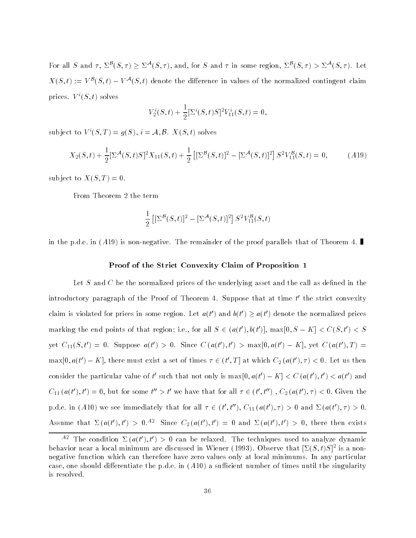For all S and  $\tau$ ,  $\Sigma^{\mathcal{B}}(S,\tau) > \Sigma^{\mathcal{A}}(S,\tau)$ , and, for S and  $\tau$  in some region,  $\Sigma^{\mathcal{B}}(S,\tau) > \Sigma^{\mathcal{A}}(S,\tau)$ . Let  $X(S,t) := V^{\mathcal{B}}(S,t) - V^{\mathcal{A}}(S,t)$  denote the difference in values of the normalized contingent claim prices.  $V^{i}(S, t)$  solves

$$
V_2^i(S,t) + \frac{1}{2} [\Sigma^i(S,t)S]^2 V_{11}^i(S,t) = 0,
$$

subject to  $V^i(S,T) = q(S), i = A, B, X(S,t)$  solves

$$
X_2(S,t) + \frac{1}{2} \left[ \Sigma^{\mathcal{A}}(S,t)S \right]^2 X_{11}(S,t) + \frac{1}{2} \left[ \left[ \Sigma^{\mathcal{B}}(S,t) \right]^2 - \left[ \Sigma^{\mathcal{A}}(S,t) \right]^2 \right] S^2 V_{11}^{\mathcal{B}}(S,t) = 0, \tag{A19}
$$

subject to  $X(S,T) = 0$ .

From Theorem 2 the term

$$
\frac{1}{2}\left[\left[\Sigma^{\mathcal{B}}(S,t)\right]^2 - \left[\Sigma^{\mathcal{A}}(S,t)\right]^2\right]S^2V_{11}^{\mathcal{B}}(S,t)
$$

in the p.d.e. in (A19) is non-negative. The remainder of the proof parallels that of Theorem 4.

#### Proof of the Strict Convexity Claim of Proposition 1

Let S and C be the normalized prices of the underlying asset and the call as defined in the introductory paragraph of the Proof of Theorem 4. Suppose that at time  $t'$  the strict convexity claim is violated for prices in some region. Let  $a(t')$  and  $b(t') > a(t')$  denote the normalized prices marking the end points of that region; i.e., for all  $S \in (a(t'),b(t')], \max[0,S-K] < C(S,t') < S$ yet  $C_{11}(S, t') = 0$ . Suppose  $a(t') > 0$ . Since  $C(a(t'), t') > \max[0, a(t') - K]$ , yet  $C(a(t'), T) =$  $\max[0, a(t') - K]$ , there must exist a set of times  $\tau \in (t', T]$  at which  $C_2(a(t'), \tau) < 0$ . Let us then consider the particular value of t' such that not only is  $\max[0, a(t') - K] < C (a(t'), t') < a(t')$  and  $C_{11}(a(t'), t') = 0$ , but for some  $t'' > t'$  we have that for all  $\tau \in (t', t'')$ ,  $C_2(a(t'), \tau) < 0$ . Given the p.d.e. in (A10) we see immediately that for all  $\tau \in (t', t'')$ ,  $C_{11}(a(t'), \tau) > 0$  and  $\Sigma(a(t'), \tau) > 0$ . Assume that  $\Sigma(a(t'), t') > 0.^{A2}$  Since  $C_2(a(t'), t') = 0$  and  $\Sigma(a(t'), t') > 0$ , there then exists

<sup>&</sup>lt;sup>A2</sup> The condition  $\Sigma(a(t'), t') > 0$  can be relaxed. The techniques used to analyze dynamic  $\beta$  behavior near a local minimum are discussed in Wiener (1995). Observe that  $\left[ \Delta(S,t)S\right]$  is a nonnegative function which can therefore have zero values only at local minimums. In any particular case, one should differentiate the p.d.e. in  $(A10)$  a sufficient number of times until the singularity is resolved.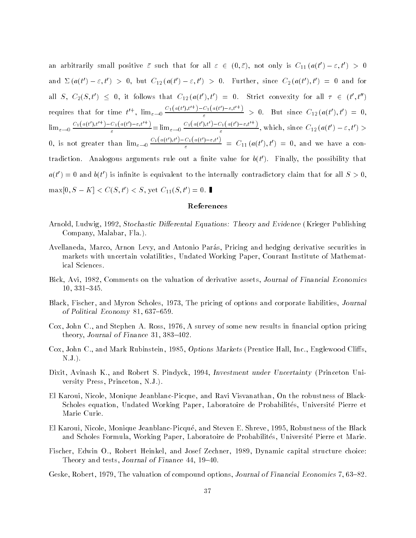an arbitrarily small positive  $\bar{\varepsilon}$  such that for all  $\varepsilon \in (0,\bar{\varepsilon})$ , not only is  $C_{11}(a(t')-\varepsilon,t') > 0$ and  $\Sigma(a(t') - \varepsilon, t') > 0$ , but  $C_{12}(a(t') - \varepsilon, t') > 0$ . Further, since  $C_2(a(t'), t') = 0$  and for all  $S, C_2(S,t') \leq 0$ , it follows that  $C_{12}(a(t'), t') = 0$ . Strict convexity for all  $\tau \in (t', t'')$ requires that for time  $t'^+$ ,  $\lim_{\varepsilon \to 0} \frac{C_1(a(t'),t'') - C_1(a(t')-\varepsilon,t'+)}{\varepsilon} > 0$ . But since  $C_{12}(a(t'),t') = 0$ ,  $\lim_{\varepsilon \to 0} \frac{C_1(a(t'),t'^\dagger) - C_1(a(t')-\varepsilon,t'^\dagger)}{\varepsilon} = \lim_{\varepsilon \to 0} \frac{C_1(a(t'),t') - C_1(a(t')-\varepsilon,t'^\dagger)}{\varepsilon},$  w  $\frac{C_1(a(t)) - C_2(t)}{\varepsilon}$ , which, since  $C_{12}(a(t') - \varepsilon, t') >$ 0, is not greater than  $\lim_{\varepsilon \to 0} \frac{C_1(a(t),t') - C_1(a(t')-\varepsilon,t')}{c}$  $\frac{C_1(a(t)) - \varepsilon, t}{\varepsilon}$  =  $C_{11}(a(t'), t') = 0$ , and we have a contradiction. Analogous arguments rule out a finite value for  $b(t')$ . Finally, the possibility that  $a(t') = 0$  and  $b(t')$  is infinite is equivalent to the internally contradictory claim that for all  $S > 0$ ,  $\max[0, S - K] < C(S, t') < S$ , yet  $C_{11}(S, t') = 0$ .

# References

- Arnold, Ludwig, 1992, Stochastic Differental Equations: Theory and Evidence (Krieger Publishing Company, Malabar, Fla.).
- Avellaneda, Marco, Arnon Levy, and Antonio Paras, Pricing and hedging derivative securities in markets with uncertain volatilities, Undated Working Paper, Courant Institute of Mathematical Sciences.
- Bick, Avi, 1982, Comments on the valuation of derivative assets, Journal of Financial Economics  $10, 331 - 345.$
- Black, Fischer, and Myron Scholes, 1973, The pricing of options and corporate liabilities, Journal of Political Economy 81, 637-659.
- Cox, John C., and Stephen A. Ross, 1976, A survey of some new results in financial option pricing theory, Journal of Finance 31,  $383-402$ .
- Cox, John C., and Mark Rubinstein, 1985, *Options Markets* (Prentice Hall, Inc., Englewood Cliffs, N.J.).
- Dixit, Avinash K., and Robert S. Pindyck, 1994, Investment under Uncertainty (Princeton University Press, Princeton, N.J.).
- El Karoui, Nicole, Monique Jeanblanc-Picque, and Ravi Visvanathan, On the robustness of Black-Scholes equation, Undated Working Paper, Laboratoire de Probabilites, Universite Pierre et Marie Curie.
- El Karoui, Nicole, Monique Jeanblanc-Picque, and Steven E. Shreve, 1995, Robustness of the Black and Scholes Formula, Working Paper, Laboratoire de Probabilites, Universite Pierre et Marie.
- Fischer, Edwin O., Robert Heinkel, and Josef Zechner, 1989, Dynamic capital structure choice: Theory and tests, Journal of Finance 44, 19-40.
- Geske, Robert, 1979, The valuation of compound options, Journal of Financial Economics 7, 63–82.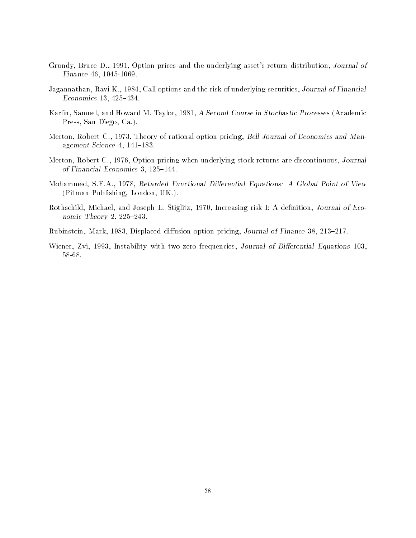- Grundy, Bruce D., 1991, Option prices and the underlying asset's return distribution, Journal of Finance 46, 1045-1069.
- Jagannathan, Ravi K., 1984, Call options and the risk of underlying securities, Journal of Financial Economics 13,  $425-434$ .
- Karlin, Samuel, and Howard M. Taylor, 1981, A Second Course in Stochastic Processes (Academic Press, San Diego, Ca.).
- Merton, Robert C., 1973, Theory of rational option pricing, Bell Journal of Economics and Management Science  $4, 141-183$ .
- Merton, Robert C., 1976, Option pricing when underlying stock returns are discontinuous, Journal of Financial Economics 3,  $125-144$ .
- Mohammed, S.E.A., 1978, Retarded Functional Differential Equations: A Global Point of View (Pitman Publishing, London, UK.).
- Rothschild, Michael, and Joseph E. Stiglitz, 1970, Increasing risk I: A definition, Journal of Economic Theory 2, 225-243.
- Rubinstein, Mark, 1983, Displaced diffusion option pricing, Journal of Finance 38, 213-217.
- Wiener, Zvi, 1993, Instability with two zero frequencies, Journal of Differential Equations 103, 58-68.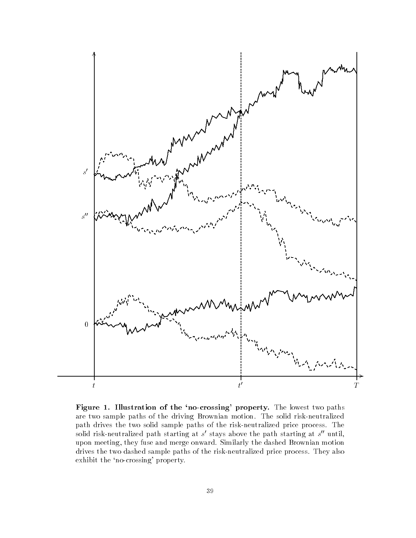

Figure 1. Illustration of the 'no-crossing' property. The lowest two paths are two sample paths of the driving Brownian motion. The solid risk-neutralized path drives the two solid sample paths of the risk-neutralized price process. The solid risk-neutralized path starting at s' stays above the path starting at s" until, upon meeting, they fuse and merge onward. Similarly the dashed Brownian motion drives the two dashed sample paths of the risk-neutralized price process. They also exhibit the 'no-crossing' property.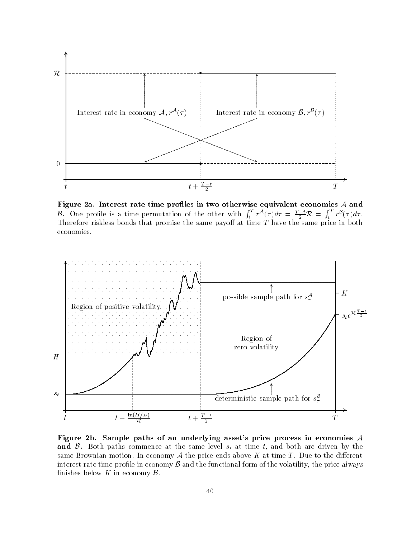

Figure 2a. Interest rate time profiles in two otherwise equivalent economies  $A$  and *B*. One profile is a time permutation of the other with  $\int_t^T r^A(\tau) d\tau = \frac{T-t}{2} \mathcal{R} = \int_t^T r^B(\tau) d\tau$ .<br>Therefore riskless bonds that promise the same payoff at time *T* have the same price in both economies.



Figure 2b. Sample paths of an underlying asset's price process in economies A and  $\beta$ . Both paths commence at the same level  $s_t$  at time t, and both are driven by the same Brownian motion. In economy  $A$  the price ends above  $K$  at time  $T$ . Due to the different interest rate time-profile in economy  $\beta$  and the functional form of the volatility, the price always finishes below  $K$  in economy  $\beta$ .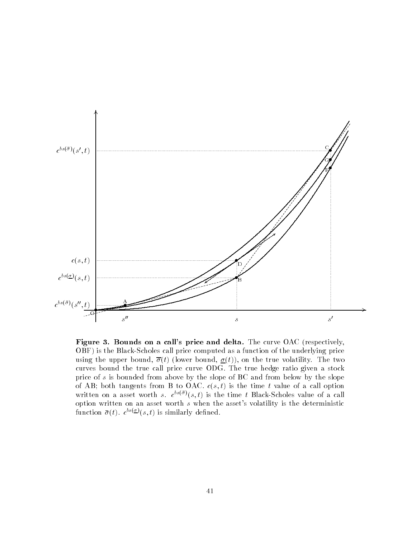

Figure 3. Bounds on a call's price and delta. The curve OAC (respectively, OBF) is the Black-Scholes call price computed as a function of the underlying price using the upper bound,  $\overline{\sigma}(t)$  (lower bound,  $\sigma(t)$ ), on the true volatility. The two curves bound the true call price curve ODG. The true hedge ratio given a stock price of  $s$  is bounded from above by the slope of BC and from below by the slope of AB; both tangents from B to OAC.  $c(s,t)$  is the time t value of a call option written on a asset worth s.  $c^{bs(\bar{\sigma})}(s,t)$  is the time t Black-Scholes value of a call option written on an asset worth s when the asset's volatility is the deterministic function  $\bar{\sigma}(t)$ .  $c^{bs(\underline{\sigma})}(s,t)$  is similarly defined.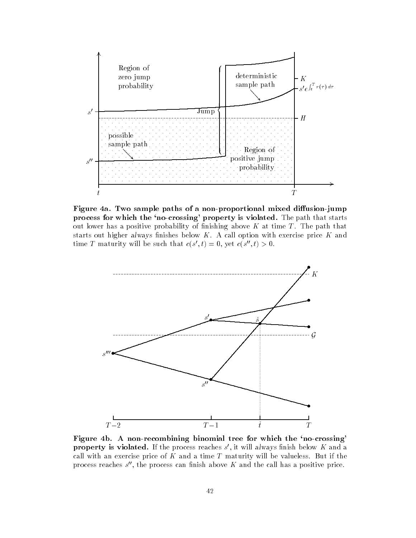

Figure 4a. Two sample paths of a non-proportional mixed diffusion-jump process for which the 'no-crossing' property is violated. The path that starts out lower has a positive probability of finishing above  $K$  at time  $T$ . The path that starts out higher always finishes below  $K$ . A call option with exercise price  $K$  and time T maturity will be such that  $c(s',t) = 0$ , yet  $c(s'',t) > 0$ .



Figure 4b. A non-recombining binomial tree for which the 'no-crossing' **property is violated.** If the process reaches  $s'$ , it will always finish below K and a call with an exercise price of  $K$  and a time  $T$  maturity will be valueless. But if the process reaches  $s''$ , the process can finish above  $K$  and the call has a positive price.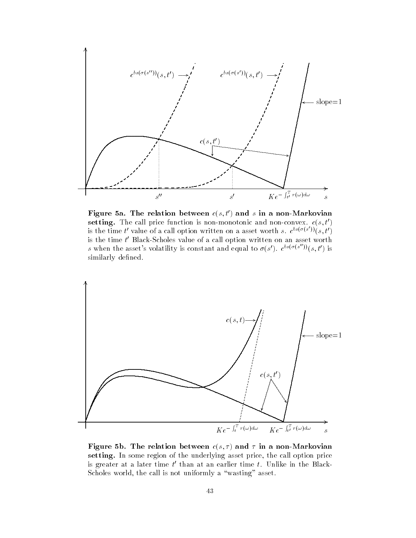

Figure 5a. The relation between  $c(s, t')$  and s in a non-Markovian setting. The call price function is non-monotonic and non-convex.  $c(s, t')$ is the time t' value of a call option written on a asset worth s.  $c^{bs(\sigma(s'))}(s,t')$ is the time t' Black-Scholes value of a call option written on an asset worth s when the asset's volatility is constant and equal to  $\sigma(s')$ .  $c^{bs(\sigma(s''))}(s,t')$  is similarly defined.



Figure 5b. The relation between  $c(s,\tau)$  and  $\tau$  in a non-Markovian setting. In some region of the underlying asset price, the call option price is greater at a later time  $t'$  than at an earlier time  $t$ . Unlike in the Black-Scholes world, the call is not uniformly a "wasting" asset.